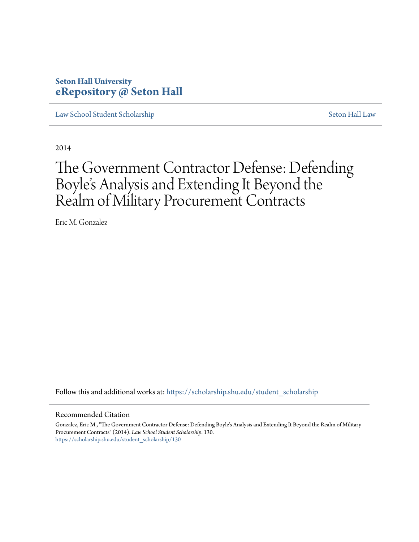## **Seton Hall University [eRepository @ Seton Hall](https://scholarship.shu.edu?utm_source=scholarship.shu.edu%2Fstudent_scholarship%2F130&utm_medium=PDF&utm_campaign=PDFCoverPages)**

[Law School Student Scholarship](https://scholarship.shu.edu/student_scholarship?utm_source=scholarship.shu.edu%2Fstudent_scholarship%2F130&utm_medium=PDF&utm_campaign=PDFCoverPages) [Seton Hall Law](https://scholarship.shu.edu/law?utm_source=scholarship.shu.edu%2Fstudent_scholarship%2F130&utm_medium=PDF&utm_campaign=PDFCoverPages)

2014

# The Government Contractor Defense: Defending Boyle's Analysis and Extending It Beyond the Realm of Military Procurement Contracts

Eric M. Gonzalez

Follow this and additional works at: [https://scholarship.shu.edu/student\\_scholarship](https://scholarship.shu.edu/student_scholarship?utm_source=scholarship.shu.edu%2Fstudent_scholarship%2F130&utm_medium=PDF&utm_campaign=PDFCoverPages)

#### Recommended Citation

Gonzalez, Eric M., "The Government Contractor Defense: Defending Boyle's Analysis and Extending It Beyond the Realm of Military Procurement Contracts" (2014). *Law School Student Scholarship*. 130. [https://scholarship.shu.edu/student\\_scholarship/130](https://scholarship.shu.edu/student_scholarship/130?utm_source=scholarship.shu.edu%2Fstudent_scholarship%2F130&utm_medium=PDF&utm_campaign=PDFCoverPages)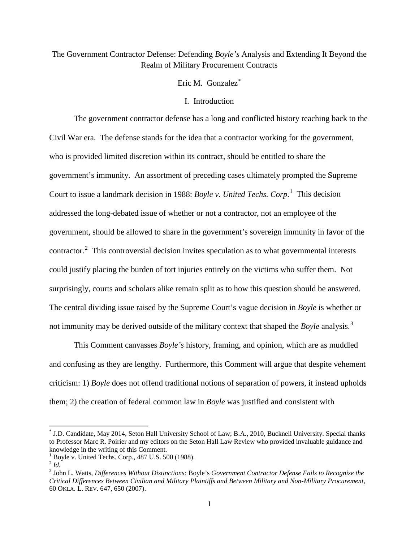## The Government Contractor Defense: Defending *Boyle's* Analysis and Extending It Beyond the Realm of Military Procurement Contracts

## Eric M. Gonzalez[∗](#page-1-0)

#### I. Introduction

The government contractor defense has a long and conflicted history reaching back to the Civil War era. The defense stands for the idea that a contractor working for the government, who is provided limited discretion within its contract, should be entitled to share the government's immunity. An assortment of preceding cases ultimately prompted the Supreme Court to issue a landmark decision in 1988: *Boyle v. United Techs. Corp*. [1](#page-1-1) This decision addressed the long-debated issue of whether or not a contractor, not an employee of the government, should be allowed to share in the government's sovereign immunity in favor of the contractor.<sup>[2](#page-1-2)</sup> This controversial decision invites speculation as to what governmental interests could justify placing the burden of tort injuries entirely on the victims who suffer them. Not surprisingly, courts and scholars alike remain split as to how this question should be answered. The central dividing issue raised by the Supreme Court's vague decision in *Boyle* is whether or not immunity may be derived outside of the military context that shaped the *Boyle* analysis. [3](#page-1-3)

This Comment canvasses *Boyle's* history, framing, and opinion, which are as muddled and confusing as they are lengthy. Furthermore, this Comment will argue that despite vehement criticism: 1) *Boyle* does not offend traditional notions of separation of powers, it instead upholds them; 2) the creation of federal common law in *Boyle* was justified and consistent with

<span id="page-1-0"></span>\* J.D. Candidate, May 2014, Seton Hall University School of Law; B.A., 2010, Bucknell University. Special thanks to Professor Marc R. Poirier and my editors on the Seton Hall Law Review who provided invaluable guidance and knowledge in the writing of this Comment.<br><sup>1</sup> Boyle v. United Techs. Corp., 487 U.S. 500 (1988).

<span id="page-1-1"></span>

<span id="page-1-2"></span> $^{2}$  *Id.* 

<span id="page-1-3"></span><sup>3</sup> John L. Watts, *Differences Without Distinctions:* Boyle's *Government Contractor Defense Fails to Recognize the Critical Differences Between Civilian and Military Plaintiffs and Between Military and Non-Military Procurement*, 60 OKLA. L. REV. 647, 650 (2007).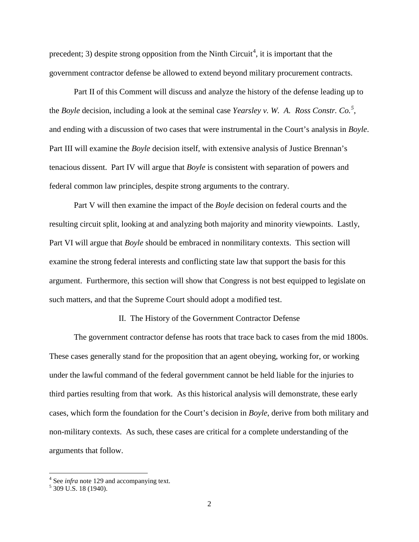precedent; 3) despite strong opposition from the Ninth Circuit<sup>[4](#page-2-0)</sup>, it is important that the government contractor defense be allowed to extend beyond military procurement contracts.

<span id="page-2-2"></span>Part II of this Comment will discuss and analyze the history of the defense leading up to the *Boyle* decision, including a look at the seminal case *Yearsley v. W. A. Ross Constr. Co.[5](#page-2-1)* , and ending with a discussion of two cases that were instrumental in the Court's analysis in *Boyle*. Part III will examine the *Boyle* decision itself, with extensive analysis of Justice Brennan's tenacious dissent. Part IV will argue that *Boyle* is consistent with separation of powers and federal common law principles, despite strong arguments to the contrary.

Part V will then examine the impact of the *Boyle* decision on federal courts and the resulting circuit split, looking at and analyzing both majority and minority viewpoints. Lastly, Part VI will argue that *Boyle* should be embraced in nonmilitary contexts. This section will examine the strong federal interests and conflicting state law that support the basis for this argument. Furthermore, this section will show that Congress is not best equipped to legislate on such matters, and that the Supreme Court should adopt a modified test.

#### II. The History of the Government Contractor Defense

The government contractor defense has roots that trace back to cases from the mid 1800s. These cases generally stand for the proposition that an agent obeying, working for, or working under the lawful command of the federal government cannot be held liable for the injuries to third parties resulting from that work. As this historical analysis will demonstrate, these early cases, which form the foundation for the Court's decision in *Boyle*, derive from both military and non-military contexts. As such, these cases are critical for a complete understanding of the arguments that follow.

<span id="page-2-0"></span> $\frac{4}{5}$  $\frac{4}{5}$  $\frac{4}{5}$  See *infra* note 129 and accompanying text.  $\frac{5}{3}$  309 U.S. 18 (1940).

<span id="page-2-1"></span>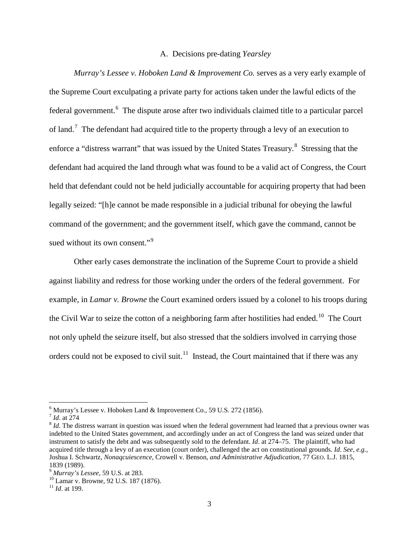#### A. Decisions pre-dating *Yearsley*

*Murray's Lessee v. Hoboken Land & Improvement Co. serves as a very early example of* the Supreme Court exculpating a private party for actions taken under the lawful edicts of the federal government.<sup>[6](#page-3-0)</sup> The dispute arose after two individuals claimed title to a particular parcel of land.<sup>[7](#page-3-1)</sup> The defendant had acquired title to the property through a levy of an execution to enforce a "distress warrant" that was issued by the United States Treasury.<sup>[8](#page-3-2)</sup> Stressing that the defendant had acquired the land through what was found to be a valid act of Congress, the Court held that defendant could not be held judicially accountable for acquiring property that had been legally seized: "[h]e cannot be made responsible in a judicial tribunal for obeying the lawful command of the government; and the government itself, which gave the command, cannot be sued without its own consent."<sup>[9](#page-3-3)</sup>

Other early cases demonstrate the inclination of the Supreme Court to provide a shield against liability and redress for those working under the orders of the federal government. For example, in *Lamar v. Browne* the Court examined orders issued by a colonel to his troops during the Civil War to seize the cotton of a neighboring farm after hostilities had ended.<sup>[10](#page-3-4)</sup> The Court not only upheld the seizure itself, but also stressed that the soldiers involved in carrying those orders could not be exposed to civil suit.<sup>[11](#page-3-5)</sup> Instead, the Court maintained that if there was any

<span id="page-3-2"></span><span id="page-3-1"></span>

<span id="page-3-0"></span><sup>&</sup>lt;sup>6</sup> Murray's Lessee v. Hoboken Land & Improvement Co., 59 U.S. 272 (1856).<br>
<sup>7</sup> *Id*. at 274 8 *Id*. The distress warrant in question was issued when the federal government had learned that a previous owner was  $^{8}$  *Id* indebted to the United States government, and accordingly under an act of Congress the land was seized under that instrument to satisfy the debt and was subsequently sold to the defendant. *Id*. at 274–75. The plaintiff, who had acquired title through a levy of an execution (court order), challenged the act on constitutional grounds. *Id*. *See, e.g.,* Joshua I. Schwartz, *Nonaqcuiescence,* Crowell v. Benson*, and Administrative Adjudication*, 77 GEO. L.J. 1815,

<span id="page-3-3"></span><sup>1839 (1989).&</sup>lt;br><sup>9</sup> Murray's Lessee, 59 U.S. at 283.

<span id="page-3-4"></span><sup>&</sup>lt;sup>10</sup> Lamar v. Browne, 92 U.S. 187 (1876).<br><sup>11</sup> *Id.* at 199.

<span id="page-3-5"></span>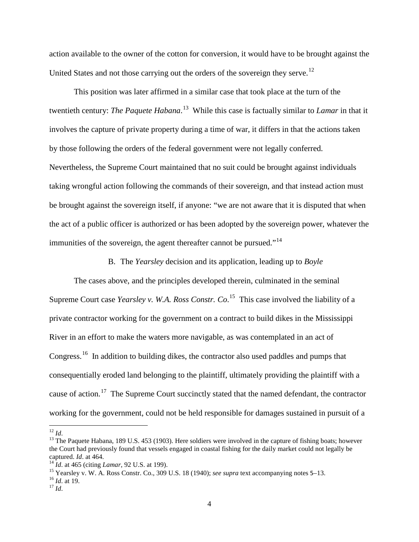action available to the owner of the cotton for conversion, it would have to be brought against the United States and not those carrying out the orders of the sovereign they serve.<sup>[12](#page-4-0)</sup>

This position was later affirmed in a similar case that took place at the turn of the twentieth century: *The Paquete Habana*. [13](#page-4-1) While this case is factually similar to *Lamar* in that it involves the capture of private property during a time of war, it differs in that the actions taken by those following the orders of the federal government were not legally conferred. Nevertheless, the Supreme Court maintained that no suit could be brought against individuals taking wrongful action following the commands of their sovereign, and that instead action must be brought against the sovereign itself, if anyone: "we are not aware that it is disputed that when the act of a public officer is authorized or has been adopted by the sovereign power, whatever the immunities of the sovereign, the agent thereafter cannot be pursued."<sup>[14](#page-4-2)</sup>

B. The *Yearsley* decision and its application, leading up to *Boyle*

The cases above, and the principles developed therein, culminated in the seminal Supreme Court case *Yearsley v. W.A. Ross Constr. Co.*<sup>[15](#page-4-3)</sup> This case involved the liability of a private contractor working for the government on a contract to build dikes in the Mississippi River in an effort to make the waters more navigable, as was contemplated in an act of Congress.[16](#page-4-4) In addition to building dikes, the contractor also used paddles and pumps that consequentially eroded land belonging to the plaintiff, ultimately providing the plaintiff with a cause of action.<sup>[17](#page-4-5)</sup> The Supreme Court succinctly stated that the named defendant, the contractor working for the government, could not be held responsible for damages sustained in pursuit of a

<span id="page-4-2"></span><sup>14</sup>*Id.* at 465 (citing *Lamar*, 92 U.S. at 199).<br><sup>15</sup> Yearsley v. W. A. Ross Constr. Co., 309 U.S. 18 (1940); *see supra* text accompanying notes 5[–](#page-2-2)13.<br><sup>16</sup>*Id.* at 19.

<span id="page-4-1"></span><span id="page-4-0"></span><sup>&</sup>lt;sup>12</sup> *Id*. <sup>13</sup> The Paquete Habana, 189 U.S. 453 (1903). Here soldiers were involved in the capture of fishing boats; however the Court had previously found that vessels engaged in coastal fishing for the daily market could not legally be captured. Id. at 464.

<span id="page-4-3"></span>

<span id="page-4-4"></span>

<span id="page-4-5"></span>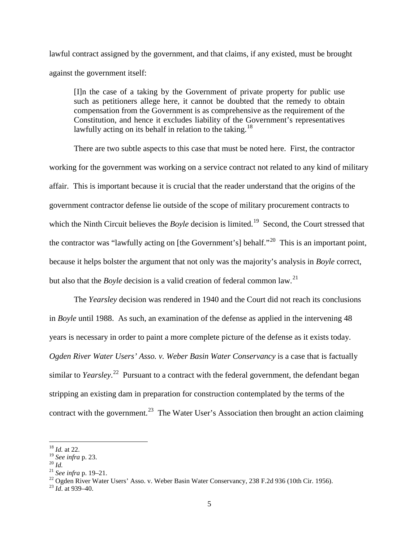lawful contract assigned by the government, and that claims, if any existed, must be brought against the government itself:

[I]n the case of a taking by the Government of private property for public use such as petitioners allege here, it cannot be doubted that the remedy to obtain compensation from the Government is as comprehensive as the requirement of the Constitution, and hence it excludes liability of the Government's representatives lawfully acting on its behalf in relation to the taking.<sup>[18](#page-5-0)</sup>

There are two subtle aspects to this case that must be noted here. First, the contractor working for the government was working on a service contract not related to any kind of military affair. This is important because it is crucial that the reader understand that the origins of the government contractor defense lie outside of the scope of military procurement contracts to which the Ninth Circuit believes the *Boyle* decision is limited. [19](#page-5-1) Second, the Court stressed that the contractor was "lawfully acting on [the Government's] behalf."<sup>[20](#page-5-2)</sup> This is an important point, because it helps bolster the argument that not only was the majority's analysis in *Boyle* correct, but also that the *Boyle* decision is a valid creation of federal common law.<sup>[21](#page-5-3)</sup>

The *Yearsley* decision was rendered in 1940 and the Court did not reach its conclusions in *Boyle* until 1988. As such, an examination of the defense as applied in the intervening 48 years is necessary in order to paint a more complete picture of the defense as it exists today. *Ogden River Water Users' Asso. v. Weber Basin Water Conservancy* is a case that is factually similar to *Yearsley*. [22](#page-5-4) Pursuant to a contract with the federal government, the defendant began stripping an existing dam in preparation for construction contemplated by the terms of the contract with the government.<sup>[23](#page-5-5)</sup> The Water User's Association then brought an action claiming

<span id="page-5-3"></span>

<span id="page-5-0"></span><sup>&</sup>lt;sup>18</sup> *Id.* at 22.<br><sup>19</sup> *See infra* p. 23.

<span id="page-5-4"></span>

<span id="page-5-2"></span><span id="page-5-1"></span><sup>&</sup>lt;sup>20</sup> *Id.* <sup>21</sup> *See infra* p. 19–21.<br><sup>21</sup> *See infra* p. 19–21.<br><sup>22</sup> Ogden River Water Users' Asso. v. Weber Basin Water Conservancy, 238 F.2d 936 (10th Cir. 1956). <sup>23</sup> *Id.* at 939–40.

<span id="page-5-5"></span>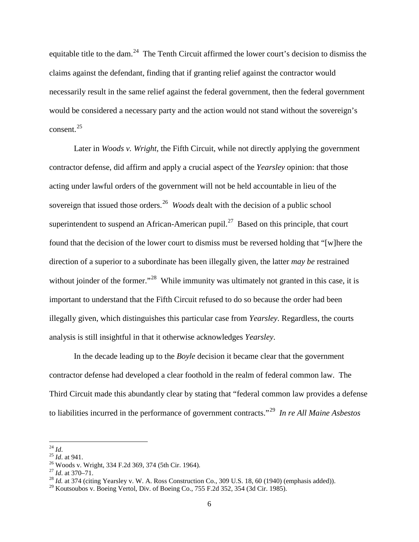equitable title to the dam.<sup>[24](#page-6-0)</sup> The Tenth Circuit affirmed the lower court's decision to dismiss the claims against the defendant, finding that if granting relief against the contractor would necessarily result in the same relief against the federal government, then the federal government would be considered a necessary party and the action would not stand without the sovereign's consent.<sup>[25](#page-6-1)</sup>

Later in *Woods v. Wright,* the Fifth Circuit, while not directly applying the government contractor defense, did affirm and apply a crucial aspect of the *Yearsley* opinion: that those acting under lawful orders of the government will not be held accountable in lieu of the sovereign that issued those orders.<sup>[26](#page-6-2)</sup> *Woods* dealt with the decision of a public school superintendent to suspend an African-American pupil.<sup>[27](#page-6-3)</sup> Based on this principle, that court found that the decision of the lower court to dismiss must be reversed holding that "[w]here the direction of a superior to a subordinate has been illegally given, the latter *may be* restrained without joinder of the former."<sup>[28](#page-6-4)</sup> While immunity was ultimately not granted in this case, it is important to understand that the Fifth Circuit refused to do so because the order had been illegally given, which distinguishes this particular case from *Yearsley*. Regardless, the courts analysis is still insightful in that it otherwise acknowledges *Yearsley*.

In the decade leading up to the *Boyle* decision it became clear that the government contractor defense had developed a clear foothold in the realm of federal common law. The Third Circuit made this abundantly clear by stating that "federal common law provides a defense to liabilities incurred in the performance of government contracts."[29](#page-6-5) *In re All Maine Asbestos* 

<span id="page-6-2"></span>

<span id="page-6-3"></span>

<span id="page-6-1"></span><span id="page-6-0"></span><sup>&</sup>lt;sup>24</sup> *Id.*<br><sup>25</sup> *Id.* at 941.<br><sup>25</sup> Woods v. Wright, 334 F.2d 369, 374 (5th Cir. 1964).<br><sup>27</sup> *Id.* at 370–71.<br><sup>28</sup> *Id.* at 374 (citing Yearsley v. W. A. Ross Construction Co., 309 U.S. 18, 60 (1940) (emphasis added)).

<span id="page-6-5"></span><span id="page-6-4"></span> $^{29}$  Koutsoubos v. Boeing Vertol, Div. of Boeing Co., 755 F.2d 352, 354 (3d Cir. 1985).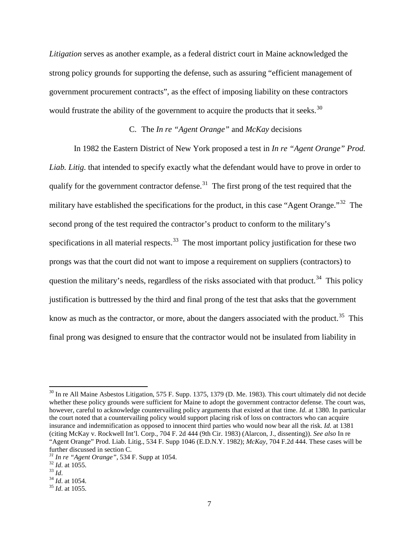*Litigation* serves as another example, as a federal district court in Maine acknowledged the strong policy grounds for supporting the defense, such as assuring "efficient management of government procurement contracts", as the effect of imposing liability on these contractors would frustrate the ability of the government to acquire the products that it seeks.<sup>[30](#page-7-0)</sup>

## C. The *In re "Agent Orange"* and *McKay* decisions

In 1982 the Eastern District of New York proposed a test in *In re "Agent Orange" Prod. Liab. Litig.* that intended to specify exactly what the defendant would have to prove in order to qualify for the government contractor defense.<sup>[31](#page-7-1)</sup> The first prong of the test required that the military have established the specifications for the product, in this case "Agent Orange."<sup>[32](#page-7-2)</sup> The second prong of the test required the contractor's product to conform to the military's specifications in all material respects.<sup>[33](#page-7-3)</sup> The most important policy justification for these two prongs was that the court did not want to impose a requirement on suppliers (contractors) to question the military's needs, regardless of the risks associated with that product.<sup>[34](#page-7-4)</sup> This policy justification is buttressed by the third and final prong of the test that asks that the government know as much as the contractor, or more, about the dangers associated with the product.<sup>[35](#page-7-5)</sup> This final prong was designed to ensure that the contractor would not be insulated from liability in

<span id="page-7-0"></span> $30$  In re All Maine Asbestos Litigation, 575 F. Supp. 1375, 1379 (D. Me. 1983). This court ultimately did not decide whether these policy grounds were sufficient for Maine to adopt the government contractor defense. The court was, however, careful to acknowledge countervailing policy arguments that existed at that time. *Id*. at 1380. In particular the court noted that a countervailing policy would support placing risk of loss on contractors who can acquire insurance and indemnification as opposed to innocent third parties who would now bear all the risk. *Id.* at 1381 (citing McKay v. Rockwell Int'l. Corp., 704 F. 2d 444 (9th Cir. 1983) (Alarcon, J., dissenting)). *See also* In re "Agent Orange" Prod. Liab. Litig., 534 F. Supp 1046 (E.D.N.Y. 1982); *McKay*, 704 F.2d 444. These cases will be further discussed in section C. *<sup>31</sup> In re "Agent Orange"*, 534 F. Supp at 1054. 32 *Id*. at 1055. 33 *Id*. 34 *Id*. at 1054. 35 *Id*. at 1055.

<span id="page-7-1"></span>

<span id="page-7-2"></span>

<span id="page-7-4"></span><span id="page-7-3"></span>

<span id="page-7-5"></span>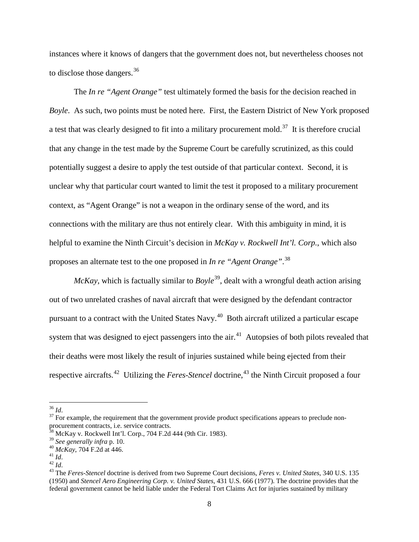instances where it knows of dangers that the government does not, but nevertheless chooses not to disclose those dangers.<sup>[36](#page-8-0)</sup>

The *In re "Agent Orange"* test ultimately formed the basis for the decision reached in *Boyle*. As such, two points must be noted here. First, the Eastern District of New York proposed a test that was clearly designed to fit into a military procurement mold.<sup>[37](#page-8-1)</sup> It is therefore crucial that any change in the test made by the Supreme Court be carefully scrutinized, as this could potentially suggest a desire to apply the test outside of that particular context. Second, it is unclear why that particular court wanted to limit the test it proposed to a military procurement context, as "Agent Orange" is not a weapon in the ordinary sense of the word, and its connections with the military are thus not entirely clear. With this ambiguity in mind, it is helpful to examine the Ninth Circuit's decision in *McKay v. Rockwell Int'l. Corp.*, which also proposes an alternate test to the one proposed in *In re "Agent Orange"*. [38](#page-8-2)

 $McKay$ , which is factually similar to  $Boyle^{39}$ , dealt with a wrongful death action arising out of two unrelated crashes of naval aircraft that were designed by the defendant contractor pursuant to a contract with the United States Navy.[40](#page-8-4) Both aircraft utilized a particular escape system that was designed to eject passengers into the  $air<sup>41</sup>$  $air<sup>41</sup>$  $air<sup>41</sup>$ . Autopsies of both pilots revealed that their deaths were most likely the result of injuries sustained while being ejected from their respective aircrafts.<sup>[42](#page-8-6)</sup> Utilizing the *Feres-Stencel* doctrine,<sup>[43](#page-8-7)</sup> the Ninth Circuit proposed a four

<span id="page-8-8"></span>

<span id="page-8-1"></span><span id="page-8-0"></span><sup>&</sup>lt;sup>36</sup> *Id*.<br><sup>37</sup> For example, the requirement that the government provide product specifications appears to preclude nonprocurement contracts, i.e. service contracts.

<span id="page-8-2"></span> $38 \text{ MeKay v. Rockwell Int'l. Corp., } 704 \text{ F.2d } 444 \text{ (9th Cir. } 1983).$ <br> $39 \text{ See generally infra p. } 10.$ 

<span id="page-8-5"></span>

<span id="page-8-7"></span><span id="page-8-6"></span>

<span id="page-8-4"></span><span id="page-8-3"></span><sup>&</sup>lt;sup>40</sup> *McKay*, 704 F.2d at 446.<br><sup>41</sup> *Id*. <sup>42</sup> *Id*. <sup>42</sup> *Id*. <sup>42</sup> *Id*. 42 *Id*. 43 The *Feres-Stencel* doctrine is derived from two Supreme Court decisions, *Feres v. United States*, 340 U.S. 135 (1950) and *Stencel Aero Engineering Corp. v. United States*, 431 U.S. 666 (1977). The doctrine provides that the federal government cannot be held liable under the Federal Tort Claims Act for injuries sustained by military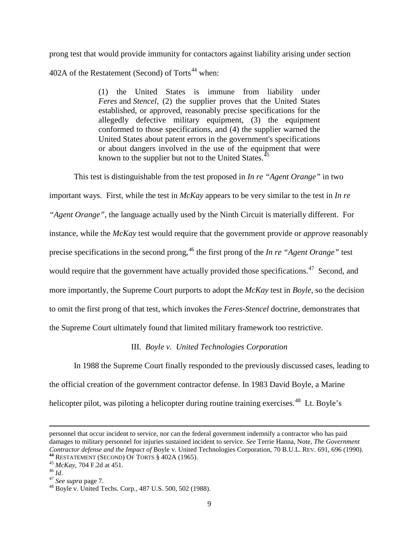prong test that would provide immunity for contactors against liability arising under section 402A of the Restatement (Second) of Torts<sup>[44](#page-9-0)</sup> when:

> (1) the United States is immune from liability under *Feres* and *Stencel*, (2) the supplier proves that the United States established, or approved, reasonably precise specifications for the allegedly defective military equipment, (3) the equipment conformed to those specifications, and (4) the supplier warned the United States about patent errors in the government's specifications or about dangers involved in the use of the equipment that were known to the supplier but not to the United States.<sup>[45](#page-9-1)</sup>

This test is distinguishable from the test proposed in *In re "Agent Orange"* in two

important ways. First, while the test in *McKay* appears to be very similar to the test in *In re* 

*"Agent Orange"*, the language actually used by the Ninth Circuit is materially different. For

instance, while the *McKay* test would require that the government provide or *approve* reasonably

precise specifications in the second prong, [46](#page-9-2) the first prong of the *In re "Agent Orange"* test

would require that the government have actually provided those specifications.<sup>[47](#page-9-3)</sup> Second, and

more importantly, the Supreme Court purports to adopt the *McKay* test in *Boyle*, so the decision

to omit the first prong of that test, which invokes the *Feres-Stencel* doctrine, demonstrates that

the Supreme Court ultimately found that limited military framework too restrictive.

## III. *Boyle v. United Technologies Corporation*

In 1988 the Supreme Court finally responded to the previously discussed cases, leading to the official creation of the government contractor defense. In 1983 David Boyle, a Marine helicopter pilot, was piloting a helicopter during routine training exercises.<sup>[48](#page-9-4)</sup> Lt. Boyle's

 $\overline{\phantom{a}}$ 

personnel that occur incident to service, nor can the federal government indemnify a contractor who has paid damages to military personnel for injuries sustained incident to service. *See* Terrie Hanna, Note, *The Government*  Contractor defense and the Impact of Boyle v. United Technologies Corporation, 70 B.U.L. REV. 691, 696 (1990).<br>
<sup>44</sup> RESTATEMENT (SECOND) OF TORTS § 402A (1965).<br>
<sup>45</sup> McKay, 704 F.2d at 451.<br>
<sup>45</sup> McKay, 704 F.2d at 451.<br>

<span id="page-9-1"></span><span id="page-9-0"></span>

<span id="page-9-2"></span>

<span id="page-9-3"></span>

<span id="page-9-4"></span>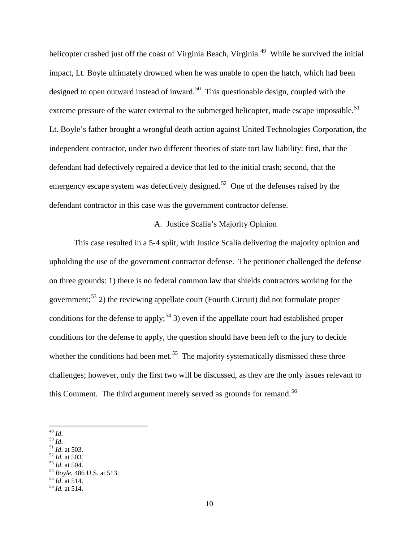helicopter crashed just off the coast of Virginia Beach, Virginia.<sup>[49](#page-10-0)</sup> While he survived the initial impact, Lt. Boyle ultimately drowned when he was unable to open the hatch, which had been designed to open outward instead of inward.<sup>[50](#page-10-1)</sup> This questionable design, coupled with the extreme pressure of the water external to the submerged helicopter, made escape impossible.<sup>[51](#page-10-2)</sup> Lt. Boyle's father brought a wrongful death action against United Technologies Corporation, the independent contractor, under two different theories of state tort law liability: first, that the defendant had defectively repaired a device that led to the initial crash; second, that the emergency escape system was defectively designed.<sup>[52](#page-10-3)</sup> One of the defenses raised by the defendant contractor in this case was the government contractor defense.

#### A. Justice Scalia's Majority Opinion

This case resulted in a 5-4 split, with Justice Scalia delivering the majority opinion and upholding the use of the government contractor defense. The petitioner challenged the defense on three grounds: 1) there is no federal common law that shields contractors working for the government;<sup>[53](#page-10-4)</sup> 2) the reviewing appellate court (Fourth Circuit) did not formulate proper conditions for the defense to apply;<sup>[54](#page-10-5)</sup> 3) even if the appellate court had established proper conditions for the defense to apply, the question should have been left to the jury to decide whether the conditions had been met.<sup>[55](#page-10-6)</sup> The majority systematically dismissed these three challenges; however, only the first two will be discussed, as they are the only issues relevant to this Comment. The third argument merely served as grounds for remand.<sup>[56](#page-10-7)</sup>

- 
- <span id="page-10-3"></span>
- <span id="page-10-5"></span><span id="page-10-4"></span>

<span id="page-10-7"></span><span id="page-10-6"></span>

<span id="page-10-2"></span><span id="page-10-1"></span>

<span id="page-10-0"></span><sup>49</sup> *Id.*<br>50 *Id.*<br>51 *Id.* at 503.<br>52 *Id.* at 503.<br>53 *Id.* at 504.<br>54 *Boyle*, 486 U.S. at 513.<br>55 *Id.* at 514.<br>56 *Id.* at 514.

<sup>10</sup>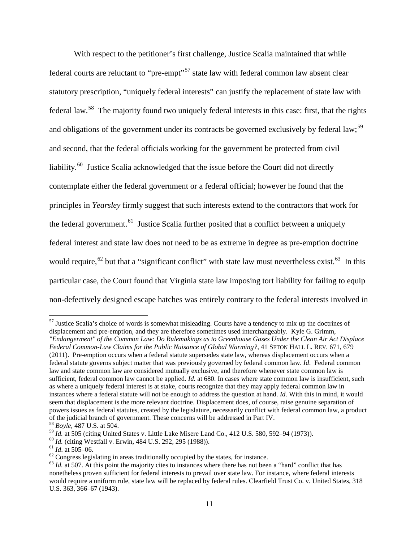With respect to the petitioner's first challenge, Justice Scalia maintained that while federal courts are reluctant to "pre-empt"<sup>[57](#page-11-0)</sup> state law with federal common law absent clear statutory prescription, "uniquely federal interests" can justify the replacement of state law with federal law.<sup>[58](#page-11-1)</sup> The majority found two uniquely federal interests in this case: first, that the rights and obligations of the government under its contracts be governed exclusively by federal law;<sup>[59](#page-11-2)</sup> and second, that the federal officials working for the government be protected from civil liability.<sup>[60](#page-11-3)</sup> Justice Scalia acknowledged that the issue before the Court did not directly contemplate either the federal government or a federal official; however he found that the principles in *Yearsley* firmly suggest that such interests extend to the contractors that work for the federal government.<sup>[61](#page-11-4)</sup> Justice Scalia further posited that a conflict between a uniquely federal interest and state law does not need to be as extreme in degree as pre-emption doctrine would require,<sup>[62](#page-11-5)</sup> but that a "significant conflict" with state law must nevertheless exist.<sup>[63](#page-11-6)</sup> In this particular case, the Court found that Virginia state law imposing tort liability for failing to equip non-defectively designed escape hatches was entirely contrary to the federal interests involved in

<span id="page-11-0"></span><sup>&</sup>lt;sup>57</sup> Justice Scalia's choice of words is somewhat misleading. Courts have a tendency to mix up the doctrines of displacement and pre-emption, and they are therefore sometimes used interchangeably. Kyle G. Grimm, *"Endangerment" of the Common Law: Do Rulemakings as to Greenhouse Gases Under the Clean Air Act Displace Federal Common-Law Claims for the Public Nuisance of Global Warming?*, 41 SETON HALL L. REV. 671, 679 (2011). Pre-emption occurs when a federal statute supersedes state law, whereas displacement occurs when a federal statute governs subject matter that was previously governed by federal common law. *Id*. Federal common law and state common law are considered mutually exclusive, and therefore whenever state common law is sufficient, federal common law cannot be applied. *Id.* at 680. In cases where state common law is insufficient, such as where a uniquely federal interest is at stake, courts recognize that they may apply federal common law in instances where a federal statute will not be enough to address the question at hand. *Id*. With this in mind, it would seem that displacement is the more relevant doctrine. Displacement does, of course, raise genuine separation of powers issues as federal statutes, created by the legislature, necessarily conflict with federal common law, a product of the judicial branch of government. These concerns will be addressed in Part IV.<br><sup>58</sup> *Boyle*, 487 U.S. at 504.<br><sup>59</sup> *Id.* at 505 (citing United States v. Little Lake Misere Land Co., 412 U.S. 580, 592–94 (1973)).

<span id="page-11-1"></span>

<span id="page-11-2"></span>

<span id="page-11-4"></span>

<span id="page-11-6"></span><span id="page-11-5"></span>

<span id="page-11-3"></span><sup>&</sup>lt;sup>60</sup> *Id.* (citing Westfall v. Erwin, 484 U.S. 292, 295 (1988)).<br><sup>61</sup> *Id.* at 505–06.<br><sup>62</sup> Congress legislating in areas traditionally occupied by the states, for instance.<br><sup>63</sup> *Id.* at 507. At this point the majority c nonetheless proven sufficient for federal interests to prevail over state law. For instance, where federal interests would require a uniform rule, state law will be replaced by federal rules. Clearfield Trust Co. v. United States, 318 U.S. 363, 366–67 (1943).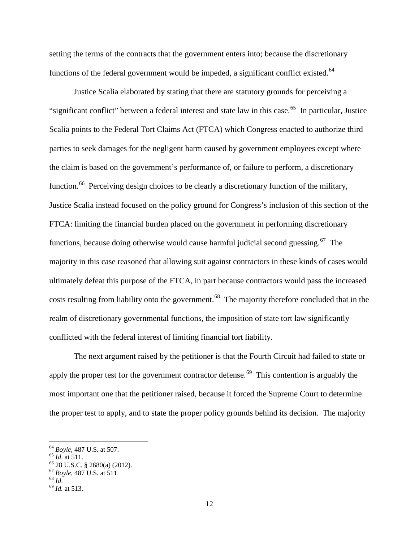setting the terms of the contracts that the government enters into; because the discretionary functions of the federal government would be impeded, a significant conflict existed.<sup>[64](#page-12-0)</sup>

<span id="page-12-6"></span>Justice Scalia elaborated by stating that there are statutory grounds for perceiving a "significant conflict" between a federal interest and state law in this case.<sup>65</sup> In particular, Justice Scalia points to the Federal Tort Claims Act (FTCA) which Congress enacted to authorize third parties to seek damages for the negligent harm caused by government employees except where the claim is based on the government's performance of, or failure to perform, a discretionary function.<sup>[66](#page-12-2)</sup> Perceiving design choices to be clearly a discretionary function of the military, Justice Scalia instead focused on the policy ground for Congress's inclusion of this section of the FTCA: limiting the financial burden placed on the government in performing discretionary functions, because doing otherwise would cause harmful judicial second guessing.<sup>[67](#page-12-3)</sup> The majority in this case reasoned that allowing suit against contractors in these kinds of cases would ultimately defeat this purpose of the FTCA, in part because contractors would pass the increased costs resulting from liability onto the government.<sup>[68](#page-12-4)</sup> The majority therefore concluded that in the realm of discretionary governmental functions, the imposition of state tort law significantly conflicted with the federal interest of limiting financial tort liability.

The next argument raised by the petitioner is that the Fourth Circuit had failed to state or apply the proper test for the government contractor defense.<sup>[69](#page-12-5)</sup> This contention is arguably the most important one that the petitioner raised, because it forced the Supreme Court to determine the proper test to apply, and to state the proper policy grounds behind its decision. The majority

<span id="page-12-2"></span>

<span id="page-12-1"></span><span id="page-12-0"></span><sup>64</sup> *Boyle*, 487 U.S. at 507.<br>
65 *Id.* at 511.<br>
66 28 U.S.C. § 2680(a) (2012).<br>
67 *Boyle*, 487 U.S. at 511 68 *Id.*<br>
69 *Id.* at 513.

<span id="page-12-5"></span><span id="page-12-4"></span><span id="page-12-3"></span>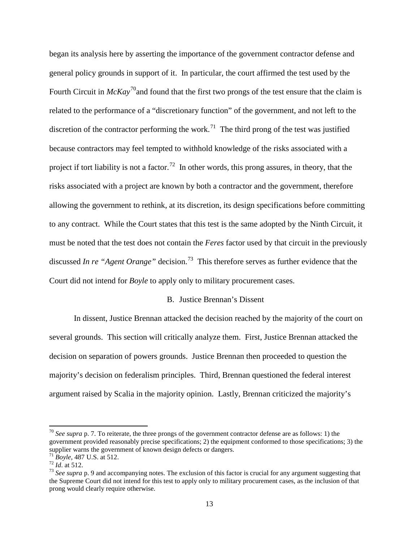began its analysis here by asserting the importance of the government contractor defense and general policy grounds in support of it. In particular, the court affirmed the test used by the Fourth Circuit in *McKay*<sup>70</sup>and found that the first two prongs of the test ensure that the claim is related to the performance of a "discretionary function" of the government, and not left to the discretion of the contractor performing the work.<sup>[71](#page-13-1)</sup> The third prong of the test was justified because contractors may feel tempted to withhold knowledge of the risks associated with a project if tort liability is not a factor.<sup>[72](#page-13-2)</sup> In other words, this prong assures, in theory, that the risks associated with a project are known by both a contractor and the government, therefore allowing the government to rethink, at its discretion, its design specifications before committing to any contract. While the Court states that this test is the same adopted by the Ninth Circuit, it must be noted that the test does not contain the *Feres* factor used by that circuit in the previously discussed *In re "Agent Orange"* decision.<sup>73</sup> This therefore serves as further evidence that the Court did not intend for *Boyle* to apply only to military procurement cases.

#### <span id="page-13-4"></span>B. Justice Brennan's Dissent

In dissent, Justice Brennan attacked the decision reached by the majority of the court on several grounds. This section will critically analyze them. First, Justice Brennan attacked the decision on separation of powers grounds. Justice Brennan then proceeded to question the majority's decision on federalism principles. Third, Brennan questioned the federal interest argument raised by Scalia in the majority opinion. Lastly, Brennan criticized the majority's

<span id="page-13-0"></span><sup>70</sup> *See supra* p. 7. To reiterate, the three prongs of the government contractor defense are as follows: 1) the government provided reasonably precise specifications; 2) the equipment conformed to those specifications; 3) the supplier warns the government of known design defects or dangers.<br>
<sup>71</sup> Boyle, 487 U.S. at 512.<br>
<sup>72</sup> Id. at 512.<br>
<sup>73</sup> See supra p. 9 and accompanying notes. The exclusion of this factor is crucial for any argument sugge

<span id="page-13-1"></span>

<span id="page-13-2"></span>

<span id="page-13-3"></span>the Supreme Court did not intend for this test to apply only to military procurement cases, as the inclusion of that prong would clearly require otherwise.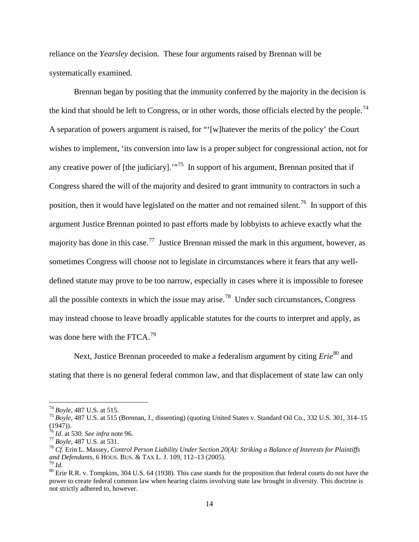reliance on the *Yearsley* decision. These four arguments raised by Brennan will be systematically examined.

Brennan began by positing that the immunity conferred by the majority in the decision is the kind that should be left to Congress, or in other words, those officials elected by the people.<sup>[74](#page-14-0)</sup> A separation of powers argument is raised, for "'[w]hatever the merits of the policy' the Court wishes to implement, 'its conversion into law is a proper subject for congressional action, not for any creative power of [the judiciary].<sup>"[75](#page-14-1)</sup> In support of his argument, Brennan posited that if Congress shared the will of the majority and desired to grant immunity to contractors in such a position, then it would have legislated on the matter and not remained silent.<sup>[76](#page-14-2)</sup> In support of this argument Justice Brennan pointed to past efforts made by lobbyists to achieve exactly what the majority has done in this case.<sup>[77](#page-14-3)</sup> Justice Brennan missed the mark in this argument, however, as sometimes Congress will choose not to legislate in circumstances where it fears that any welldefined statute may prove to be too narrow, especially in cases where it is impossible to foresee all the possible contexts in which the issue may arise.<sup>[78](#page-14-4)</sup> Under such circumstances, Congress may instead choose to leave broadly applicable statutes for the courts to interpret and apply, as was done here with the FTCA.<sup>[79](#page-14-5)</sup>

<span id="page-14-7"></span>Next, Justice Brennan proceeded to make a federalism argument by citing *Erie*<sup>[80](#page-14-6)</sup> and stating that there is no general federal common law, and that displacement of state law can only

<span id="page-14-1"></span><span id="page-14-0"></span><sup>74</sup> *Boyle*, 487 U.S. at 515. <sup>75</sup> *Boyle*, 487 U.S. at 515 (Brennan, J., dissenting) (quoting United States v. Standard Oil Co., 332 U.S. 301, 314–15 (1947)).<br> $^{76}$  *Id.* at 530. *See infra* note 96.

<span id="page-14-2"></span>

<span id="page-14-4"></span>

<span id="page-14-3"></span><sup>&</sup>lt;sup>77</sup> *Boyle*, 487 U.S. at 531.<br><sup>78</sup> *Cf.* Erin L. Massey, *Control Person Liability Under Section 20(A): Striking a Balance of Interests for Plaintiffs and Defendants. 6 HOUS. BUS. & TAX L. J. 109. 112–13 (2005).* 

<span id="page-14-6"></span><span id="page-14-5"></span><sup>&</sup>lt;sup>79</sup> *Id.* <sup>80</sup> Erie R.R. v. Tompkins, 304 U.S. 64 (1938). This case stands for the proposition that federal courts do not have the power to create federal common law when hearing claims involving state law brought in diversity. This doctrine is not strictly adhered to, however.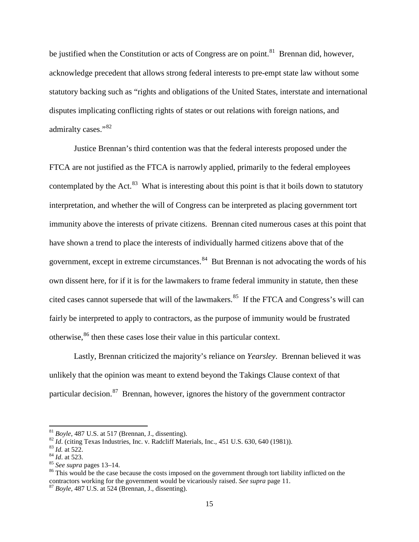be justified when the Constitution or acts of Congress are on point.<sup>[81](#page-15-0)</sup> Brennan did, however, acknowledge precedent that allows strong federal interests to pre-empt state law without some statutory backing such as "rights and obligations of the United States, interstate and international disputes implicating conflicting rights of states or out relations with foreign nations, and admiralty cases."<sup>[82](#page-15-1)</sup>

Justice Brennan's third contention was that the federal interests proposed under the FTCA are not justified as the FTCA is narrowly applied, primarily to the federal employees contemplated by the Act. $83$  What is interesting about this point is that it boils down to statutory interpretation, and whether the will of Congress can be interpreted as placing government tort immunity above the interests of private citizens. Brennan cited numerous cases at this point that have shown a trend to place the interests of individually harmed citizens above that of the government, except in extreme circumstances.<sup>[84](#page-15-3)</sup> But Brennan is not advocating the words of his own dissent here, for if it is for the lawmakers to frame federal immunity in statute, then these cited cases cannot supersede that will of the lawmakers.<sup>[85](#page-15-4)</sup> If the FTCA and Congress's will can fairly be interpreted to apply to contractors, as the purpose of immunity would be frustrated otherwise,<sup>[86](#page-15-5)</sup> then these cases lose their value in this particular context.

Lastly, Brennan criticized the majority's reliance on *Yearsley*. Brennan believed it was unlikely that the opinion was meant to extend beyond the Takings Clause context of that particular decision.<sup>[87](#page-15-6)</sup> Brennan, however, ignores the history of the government contractor

<span id="page-15-2"></span>

<span id="page-15-3"></span>

<span id="page-15-5"></span><span id="page-15-4"></span>

<span id="page-15-1"></span><span id="page-15-0"></span><sup>&</sup>lt;sup>81</sup> Boyle, 487 U.S. at 517 (Brennan, J., dissenting).<br><sup>82</sup> *Id.* (citing Texas Industries, Inc. v. Radcliff Materials, Inc., 451 U.S. 630, 640 (1981)).<br><sup>83</sup> *Id.* at 522.<br><sup>84</sup> *Id.* at 523.<br><sup>85</sup> *See supra* pages 13–14.<br> contractors working for the government would be vicariously raised. *See supra* page 11. <sup>87</sup> *Boyle*, 487 U.S. at 524 (Brennan, J., dissenting).

<span id="page-15-6"></span>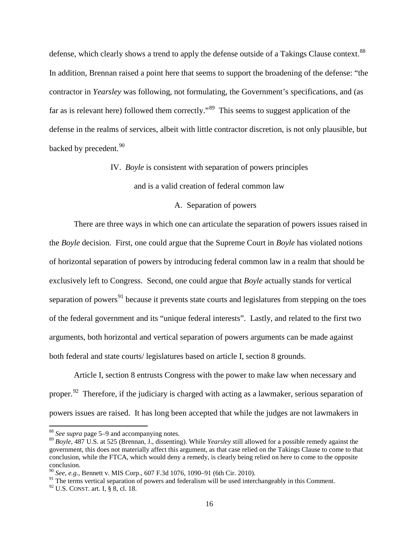defense, which clearly shows a trend to apply the defense outside of a Takings Clause context.<sup>[88](#page-16-0)</sup> In addition, Brennan raised a point here that seems to support the broadening of the defense: "the contractor in *Yearsley* was following, not formulating, the Government's specifications, and (as far as is relevant here) followed them correctly.<sup>[89](#page-16-1)</sup> This seems to suggest application of the defense in the realms of services, albeit with little contractor discretion, is not only plausible, but backed by precedent.<sup>[90](#page-16-2)</sup>

IV. *Boyle* is consistent with separation of powers principles

and is a valid creation of federal common law

#### A. Separation of powers

There are three ways in which one can articulate the separation of powers issues raised in the *Boyle* decision. First, one could argue that the Supreme Court in *Boyle* has violated notions of horizontal separation of powers by introducing federal common law in a realm that should be exclusively left to Congress. Second, one could argue that *Boyle* actually stands for vertical separation of powers<sup>[91](#page-16-3)</sup> because it prevents state courts and legislatures from stepping on the toes of the federal government and its "unique federal interests". Lastly, and related to the first two arguments, both horizontal and vertical separation of powers arguments can be made against both federal and state courts/ legislatures based on article I, section 8 grounds.

Article I, section 8 entrusts Congress with the power to make law when necessary and proper.<sup>[92](#page-16-4)</sup> Therefore, if the judiciary is charged with acting as a lawmaker, serious separation of powers issues are raised. It has long been accepted that while the judges are not lawmakers in

<span id="page-16-0"></span><sup>88</sup> *See supra* page 5–9 and accompanying notes.

<span id="page-16-1"></span><sup>89</sup> *Boyle*, 487 U.S. at 525 (Brennan, J., dissenting). While *Yearsley* still allowed for a possible remedy against the government, this does not materially affect this argument, as that case relied on the Takings Clause to come to that conclusion, while the FTCA, which would deny a remedy, is clearly being relied on here to come to the opposite conclusion.

<span id="page-16-2"></span><sup>90</sup> *See, e.g.,* Bennett v. MIS Corp., 607 F.3d 1076, 1090–91 (6th Cir. 2010).

<span id="page-16-3"></span><sup>&</sup>lt;sup>91</sup> The terms vertical separation of powers and federalism will be used interchangeably in this Comment.

<span id="page-16-4"></span> $92$  U.S. CONST. art. I,  $\S$  8, cl. 18.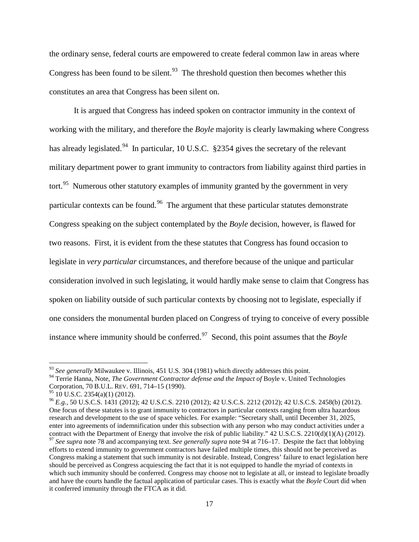the ordinary sense, federal courts are empowered to create federal common law in areas where Congress has been found to be silent.<sup>[93](#page-17-2)</sup> The threshold question then becomes whether this constitutes an area that Congress has been silent on.

<span id="page-17-1"></span><span id="page-17-0"></span>It is argued that Congress has indeed spoken on contractor immunity in the context of working with the military, and therefore the *Boyle* majority is clearly lawmaking where Congress has already legislated.<sup>[94](#page-17-3)</sup> In particular, 10 U.S.C. §2354 gives the secretary of the relevant military department power to grant immunity to contractors from liability against third parties in tort.<sup>[95](#page-17-4)</sup> Numerous other statutory examples of immunity granted by the government in very particular contexts can be found.<sup>[96](#page-17-5)</sup> The argument that these particular statutes demonstrate Congress speaking on the subject contemplated by the *Boyle* decision, however, is flawed for two reasons. First, it is evident from the these statutes that Congress has found occasion to legislate in *very particular* circumstances, and therefore because of the unique and particular consideration involved in such legislating, it would hardly make sense to claim that Congress has spoken on liability outside of such particular contexts by choosing not to legislate, especially if one considers the monumental burden placed on Congress of trying to conceive of every possible instance where immunity should be conferred.[97](#page-17-6) Second, this point assumes that the *Boyle* 

<span id="page-17-7"></span><span id="page-17-2"></span><sup>&</sup>lt;sup>93</sup> See generally Milwaukee v. Illinois, 451 U.S. 304 (1981) which directly addresses this point.

<span id="page-17-3"></span><sup>94</sup> Terrie Hanna, Note, *The Government Contractor defense and the Impact of* Boyle v. United Technologies Corporation, 70 B.U.L. REV. 691, 714–15 (1990).<br><sup>95</sup> 10 U.S.C. 2354(a)(1) (2012).

<span id="page-17-5"></span><span id="page-17-4"></span><sup>&</sup>lt;sup>96</sup> *E.g.*, 50 U.S.C.S. 1431 (2012); 42 U.S.C.S. 2210 (2012); 42 U.S.C.S. 2212 (2012); 42 U.S.C.S. 2458(b) (2012). One focus of these statutes is to grant immunity to contractors in particular contexts ranging from ultra hazardous research and development to the use of space vehicles. For example: "Secretary shall, until December 31, 2025, enter into agreements of indemnification under this subsection with any person who may conduct activities under a contract with the Department of Energy that involve the risk of public liability." 42 U.S.C.S. 2210(d)(1)(A) (2012).

<span id="page-17-6"></span><sup>97</sup> *See supra* note [78](#page-14-7) and accompanying text. *See generally supra* note [94](#page-17-1) at 716–17. Despite the fact that lobbying efforts to extend immunity to government contractors have failed multiple times, this should not be perceived as Congress making a statement that such immunity is not desirable. Instead, Congress' failure to enact legislation here should be perceived as Congress acquiescing the fact that it is not equipped to handle the myriad of contexts in which such immunity should be conferred. Congress may choose not to legislate at all, or instead to legislate broadly and have the courts handle the factual application of particular cases. This is exactly what the *Boyle* Court did when it conferred immunity through the FTCA as it did.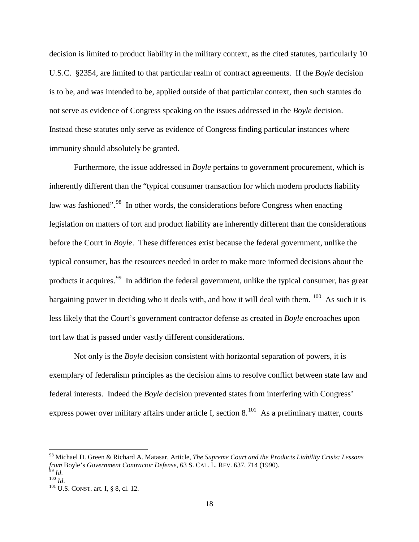decision is limited to product liability in the military context, as the cited statutes, particularly 10 U.S.C. §2354, are limited to that particular realm of contract agreements. If the *Boyle* decision is to be, and was intended to be, applied outside of that particular context, then such statutes do not serve as evidence of Congress speaking on the issues addressed in the *Boyle* decision. Instead these statutes only serve as evidence of Congress finding particular instances where immunity should absolutely be granted.

<span id="page-18-4"></span>Furthermore, the issue addressed in *Boyle* pertains to government procurement, which is inherently different than the "typical consumer transaction for which modern products liability law was fashioned".<sup>98</sup> In other words, the considerations before Congress when enacting legislation on matters of tort and product liability are inherently different than the considerations before the Court in *Boyle*. These differences exist because the federal government, unlike the typical consumer, has the resources needed in order to make more informed decisions about the products it acquires.<sup>99</sup> In addition the federal government, unlike the typical consumer, has great bargaining power in deciding who it deals with, and how it will deal with them.  $100$  As such it is less likely that the Court's government contractor defense as created in *Boyle* encroaches upon tort law that is passed under vastly different considerations.

Not only is the *Boyle* decision consistent with horizontal separation of powers, it is exemplary of federalism principles as the decision aims to resolve conflict between state law and federal interests. Indeed the *Boyle* decision prevented states from interfering with Congress' express power over military affairs under article I, section  $8.^{101}$  $8.^{101}$  $8.^{101}$  As a preliminary matter, courts

<span id="page-18-0"></span><sup>98</sup> Michael D. Green & Richard A. Matasar, Article, *The Supreme Court and the Products Liability Crisis: Lessons from* Boyle's *Government Contractor Defense*, 63 S. CAL. L. REV. 637, 714 (1990).<br><sup>99</sup> *Id*. <sup>100</sup> *Id*. <sup>100</sup> *Id*. <sup>101</sup> U.S. CONST. art. I, § 8, cl. 12.

<span id="page-18-2"></span><span id="page-18-1"></span>

<span id="page-18-3"></span>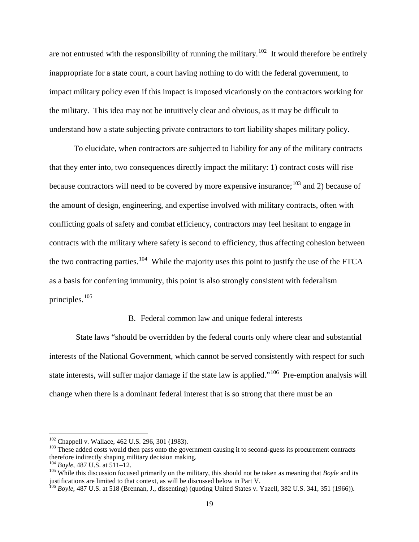are not entrusted with the responsibility of running the military.<sup>[102](#page-19-0)</sup> It would therefore be entirely inappropriate for a state court, a court having nothing to do with the federal government, to impact military policy even if this impact is imposed vicariously on the contractors working for the military. This idea may not be intuitively clear and obvious, as it may be difficult to understand how a state subjecting private contractors to tort liability shapes military policy.

To elucidate, when contractors are subjected to liability for any of the military contracts that they enter into, two consequences directly impact the military: 1) contract costs will rise because contractors will need to be covered by more expensive insurance;<sup>[103](#page-19-1)</sup> and 2) because of the amount of design, engineering, and expertise involved with military contracts, often with conflicting goals of safety and combat efficiency, contractors may feel hesitant to engage in contracts with the military where safety is second to efficiency, thus affecting cohesion between the two contracting parties.<sup>[104](#page-19-2)</sup> While the majority uses this point to justify the use of the FTCA as a basis for conferring immunity, this point is also strongly consistent with federalism principles. [105](#page-19-3)

#### <span id="page-19-5"></span>B. Federal common law and unique federal interests

State laws "should be overridden by the federal courts only where clear and substantial interests of the National Government, which cannot be served consistently with respect for such state interests, will suffer major damage if the state law is applied."<sup>106</sup> Pre-emption analysis will change when there is a dominant federal interest that is so strong that there must be an

<span id="page-19-1"></span>

<span id="page-19-0"></span> $102$  Chappell v. Wallace, 462 U.S. 296, 301 (1983).<br><sup>103</sup> These added costs would then pass onto the government causing it to second-guess its procurement contracts therefore indirectly shaping military decision making.<br> $^{104}$  Boyle, 487 U.S. at 511–12.

<span id="page-19-2"></span>

<span id="page-19-3"></span><sup>&</sup>lt;sup>105</sup> While this discussion focused primarily on the military, this should not be taken as meaning that  $Bovle$  and its justifications are limited to that context, as will be discussed below in Part V.

<span id="page-19-4"></span><sup>106</sup> *Boyle*, 487 U.S. at 518 (Brennan, J., dissenting) (quoting United States v. Yazell, 382 U.S. 341, 351 (1966)).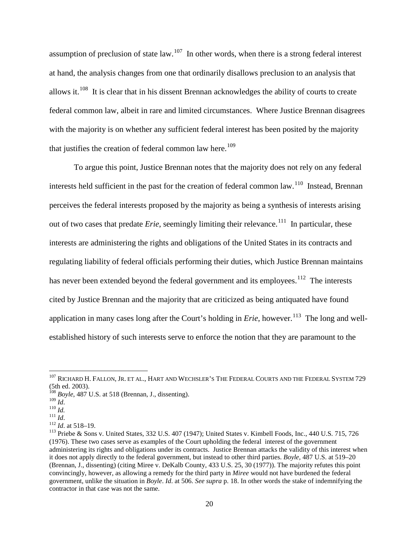assumption of preclusion of state law.<sup>[107](#page-20-0)</sup> In other words, when there is a strong federal interest at hand, the analysis changes from one that ordinarily disallows preclusion to an analysis that allows it.<sup>[108](#page-20-1)</sup> It is clear that in his dissent Brennan acknowledges the ability of courts to create federal common law, albeit in rare and limited circumstances. Where Justice Brennan disagrees with the majority is on whether any sufficient federal interest has been posited by the majority that justifies the creation of federal common law here.<sup>[109](#page-20-2)</sup>

To argue this point, Justice Brennan notes that the majority does not rely on any federal interests held sufficient in the past for the creation of federal common law.<sup>[110](#page-20-3)</sup> Instead, Brennan perceives the federal interests proposed by the majority as being a synthesis of interests arising out of two cases that predate *Erie*, seemingly limiting their relevance.<sup>[111](#page-20-4)</sup> In particular, these interests are administering the rights and obligations of the United States in its contracts and regulating liability of federal officials performing their duties, which Justice Brennan maintains has never been extended beyond the federal government and its employees.<sup>[112](#page-20-5)</sup> The interests cited by Justice Brennan and the majority that are criticized as being antiquated have found application in many cases long after the Court's holding in *Erie*, however. [113](#page-20-6) The long and wellestablished history of such interests serve to enforce the notion that they are paramount to the

<span id="page-20-0"></span> $^{107}$  RICHARD H. FALLON, JR. ET AL., HART AND WECHSLER'S THE FEDERAL COURTS AND THE FEDERAL SYSTEM 729 (5th ed. 2003).

<span id="page-20-1"></span><sup>&</sup>lt;sup>108</sup> *Boyle*, 487 U.S. at 518 (Brennan, J., dissenting).<br><sup>109</sup> *Id* 

<span id="page-20-5"></span><span id="page-20-4"></span>

<span id="page-20-6"></span>

<span id="page-20-3"></span><span id="page-20-2"></span><sup>110</sup> *Id.*<br>
<sup>111</sup> *Id.*<br>
<sup>112</sup> *Id.* at 518–19.<br>
<sup>113</sup> Priebe & Sons v. United States, 332 U.S. 407 (1947); United States v. Kimbell Foods, Inc., 440 U.S. 715, 726 (1976). These two cases serve as examples of the Court upholding the federal interest of the government administering its rights and obligations under its contracts. Justice Brennan attacks the validity of this interest when it does not apply directly to the federal government, but instead to other third parties. *Boyle,* 487 U.S. at 519–20 (Brennan, J., dissenting) (citing Miree v. DeKalb County, 433 U.S. 25, 30 (1977)). The majority refutes this point convincingly, however, as allowing a remedy for the third party in *Miree* would not have burdened the federal government, unlike the situation in *Boyle*. *Id*. at 506. *See supra* p. 18. In other words the stake of indemnifying the contractor in that case was not the same.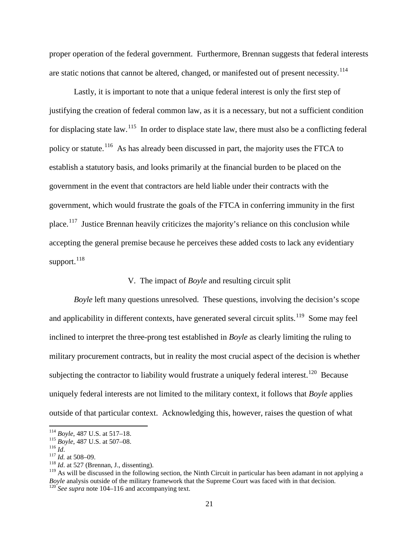proper operation of the federal government. Furthermore, Brennan suggests that federal interests are static notions that cannot be altered, changed, or manifested out of present necessity.<sup>[114](#page-21-1)</sup>

<span id="page-21-0"></span>Lastly, it is important to note that a unique federal interest is only the first step of justifying the creation of federal common law, as it is a necessary, but not a sufficient condition for displacing state law.<sup>[115](#page-21-2)</sup> In order to displace state law, there must also be a conflicting federal policy or statute.<sup>[116](#page-21-3)</sup> As has already been discussed in part, the majority uses the FTCA to establish a statutory basis, and looks primarily at the financial burden to be placed on the government in the event that contractors are held liable under their contracts with the government, which would frustrate the goals of the FTCA in conferring immunity in the first place.<sup>[117](#page-21-4)</sup> Justice Brennan heavily criticizes the majority's reliance on this conclusion while accepting the general premise because he perceives these added costs to lack any evidentiary support. $^{118}$  $^{118}$  $^{118}$ 

#### V. The impact of *Boyle* and resulting circuit split

*Boyle* left many questions unresolved. These questions, involving the decision's scope and applicability in different contexts, have generated several circuit splits.<sup>[119](#page-21-6)</sup> Some may feel inclined to interpret the three-prong test established in *Boyle* as clearly limiting the ruling to military procurement contracts, but in reality the most crucial aspect of the decision is whether subjecting the contractor to liability would frustrate a uniquely federal interest.<sup>[120](#page-21-7)</sup> Because uniquely federal interests are not limited to the military context, it follows that *Boyle* applies outside of that particular context. Acknowledging this, however, raises the question of what

<span id="page-21-2"></span><span id="page-21-1"></span><sup>114</sup> *Boyle*, 487 U.S. at 517–18.<br><sup>115</sup> *Boyle*, 487 U.S. at 507–08.<br><sup>116</sup> *Id.* 117 *Id.* at 508–09.<br><sup>118</sup> *Id.* at 527 (Brennan, J., dissenting).

<span id="page-21-3"></span>

<span id="page-21-4"></span>

<span id="page-21-7"></span><span id="page-21-6"></span><span id="page-21-5"></span><sup>&</sup>lt;sup>119</sup> As will be discussed in the following section, the Ninth Circuit in particular has been adamant in not applying a *Boyle* analysis outside of the military framework that the Supreme Court was faced with in that decision. <sup>120</sup> *See supra* not[e 104](#page-19-5)[–116](#page-21-0) and accompanying text.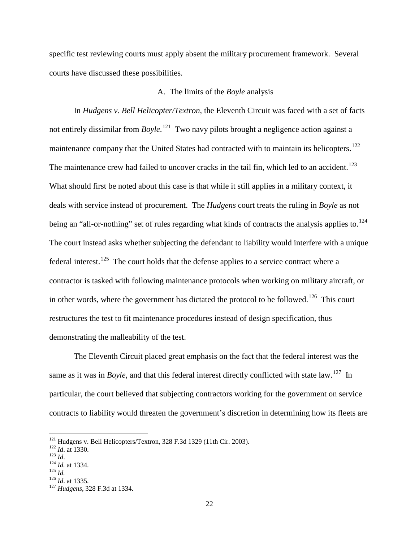specific test reviewing courts must apply absent the military procurement framework. Several courts have discussed these possibilities.

#### A. The limits of the *Boyle* analysis

In *Hudgens v. Bell Helicopter/Textron*, the Eleventh Circuit was faced with a set of facts not entirely dissimilar from *Boyle*. [121](#page-22-0) Two navy pilots brought a negligence action against a maintenance company that the United States had contracted with to maintain its helicopters.<sup>[122](#page-22-1)</sup> The maintenance crew had failed to uncover cracks in the tail fin, which led to an accident.<sup>[123](#page-22-2)</sup> What should first be noted about this case is that while it still applies in a military context, it deals with service instead of procurement. The *Hudgens* court treats the ruling in *Boyle* as not being an "all-or-nothing" set of rules regarding what kinds of contracts the analysis applies to.<sup>[124](#page-22-3)</sup> The court instead asks whether subjecting the defendant to liability would interfere with a unique federal interest.<sup>[125](#page-22-4)</sup> The court holds that the defense applies to a service contract where a contractor is tasked with following maintenance protocols when working on military aircraft, or in other words, where the government has dictated the protocol to be followed.<sup>[126](#page-22-5)</sup> This court restructures the test to fit maintenance procedures instead of design specification, thus demonstrating the malleability of the test.

The Eleventh Circuit placed great emphasis on the fact that the federal interest was the same as it was in *Boyle*, and that this federal interest directly conflicted with state law.<sup>[127](#page-22-6)</sup> In particular, the court believed that subjecting contractors working for the government on service contracts to liability would threaten the government's discretion in determining how its fleets are

<span id="page-22-1"></span><span id="page-22-0"></span><sup>1&</sup>lt;sup>21</sup> Hudgens v. Bell Helicopters/Textron, 328 F.3d 1329 (11th Cir. 2003).<br>
<sup>122</sup> *Id.* at 1330.<br>
<sup>123</sup> *Id.* 124 *Id.* at 1334.<br>
<sup>126</sup> *Id.* at 1335.<br>
<sup>127</sup> *Hudgens*, 328 F.3d at 1334.

<span id="page-22-3"></span><span id="page-22-2"></span>

<span id="page-22-5"></span><span id="page-22-4"></span>

<span id="page-22-6"></span>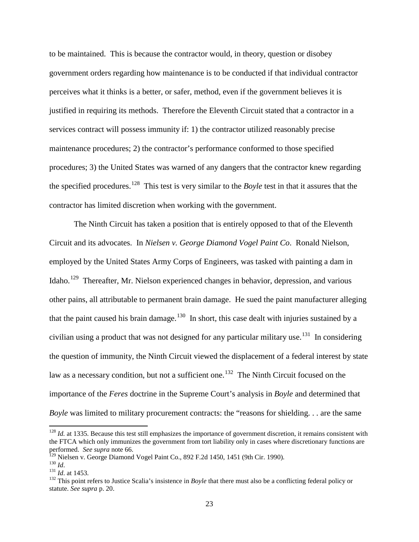to be maintained. This is because the contractor would, in theory, question or disobey government orders regarding how maintenance is to be conducted if that individual contractor perceives what it thinks is a better, or safer, method, even if the government believes it is justified in requiring its methods. Therefore the Eleventh Circuit stated that a contractor in a services contract will possess immunity if: 1) the contractor utilized reasonably precise maintenance procedures; 2) the contractor's performance conformed to those specified procedures; 3) the United States was warned of any dangers that the contractor knew regarding the specified procedures.[128](#page-23-1) This test is very similar to the *Boyle* test in that it assures that the contractor has limited discretion when working with the government.

<span id="page-23-0"></span>The Ninth Circuit has taken a position that is entirely opposed to that of the Eleventh Circuit and its advocates. In *Nielsen v. George Diamond Vogel Paint Co*. Ronald Nielson, employed by the United States Army Corps of Engineers, was tasked with painting a dam in Idaho.[129](#page-23-2) Thereafter, Mr. Nielson experienced changes in behavior, depression, and various other pains, all attributable to permanent brain damage. He sued the paint manufacturer alleging that the paint caused his brain damage.<sup>[130](#page-23-3)</sup> In short, this case dealt with injuries sustained by a civilian using a product that was not designed for any particular military use.<sup>[131](#page-23-4)</sup> In considering the question of immunity, the Ninth Circuit viewed the displacement of a federal interest by state law as a necessary condition, but not a sufficient one.<sup>[132](#page-23-5)</sup> The Ninth Circuit focused on the importance of the *Feres* doctrine in the Supreme Court's analysis in *Boyle* and determined that *Boyle* was limited to military procurement contracts: the "reasons for shielding. . . are the same

<span id="page-23-1"></span><sup>&</sup>lt;sup>128</sup> *Id.* at 1335. Because this test still emphasizes the importance of government discretion, it remains consistent with the FTCA which only immunizes the government from tort liability only in cases where discretionary functions are performed. *See supra* note [66.](#page-12-6)<br>
<sup>129</sup> Nielsen v. George Diamond Vogel Paint Co., 892 F.2d 1450, 1451 (9th Cir. 1990).<br>
<sup>130</sup> *Id.*<br>
<sup>131</sup> *Id.* at 1453.<br>
<sup>132</sup> This point refers to Justice Scalia's insistence in *Boyle*

<span id="page-23-2"></span>

<span id="page-23-3"></span>

<span id="page-23-4"></span>

<span id="page-23-5"></span>statute. *See supra* p. 20.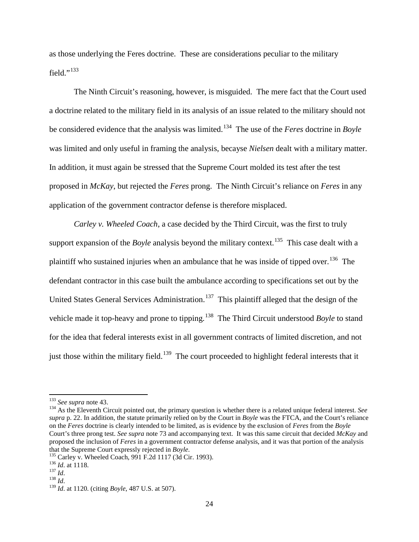as those underlying the Feres doctrine. These are considerations peculiar to the military field." $^{133}$  $^{133}$  $^{133}$ 

The Ninth Circuit's reasoning, however, is misguided. The mere fact that the Court used a doctrine related to the military field in its analysis of an issue related to the military should not be considered evidence that the analysis was limited. [134](#page-24-1) The use of the *Feres* doctrine in *Boyle* was limited and only useful in framing the analysis, becayse *Nielsen* dealt with a military matter. In addition, it must again be stressed that the Supreme Court molded its test after the test proposed in *McKay*, but rejected the *Feres* prong. The Ninth Circuit's reliance on *Feres* in any application of the government contractor defense is therefore misplaced.

*Carley v. Wheeled Coach*, a case decided by the Third Circuit, was the first to truly support expansion of the *Boyle* analysis beyond the military context.<sup>[135](#page-24-2)</sup> This case dealt with a plaintiff who sustained injuries when an ambulance that he was inside of tipped over.<sup>[136](#page-24-3)</sup> The defendant contractor in this case built the ambulance according to specifications set out by the United States General Services Administration.<sup>[137](#page-24-4)</sup> This plaintiff alleged that the design of the vehicle made it top-heavy and prone to tipping.<sup>[138](#page-24-5)</sup> The Third Circuit understood *Boyle* to stand for the idea that federal interests exist in all government contracts of limited discretion, and not just those within the military field.<sup>[139](#page-24-6)</sup> The court proceeded to highlight federal interests that it

<span id="page-24-1"></span><span id="page-24-0"></span><sup>133</sup> *See supra* not[e 43.](#page-8-8) 134 As the Eleventh Circuit pointed out, the primary question is whether there is a related unique federal interest. *See supra* p. 22. In addition, the statute primarily relied on by the Court in *Boyle* was the FTCA, and the Court's reliance on the *Feres* doctrine is clearly intended to be limited, as is evidence by the exclusion of *Feres* from the *Boyle* Court's three prong test. *See supra* note [73](#page-13-4) and accompanying text. It was this same circuit that decided *McKay* and proposed the inclusion of *Feres* in a government contractor defense analysis, and it was that portion of the analysis

<span id="page-24-2"></span>that the Supreme Court expressly rejected in *Boyle*.<br><sup>135</sup> Carley v. Wheeled Coach, 991 F.2d 1117 (3d Cir. 1993).<br><sup>136</sup> *Id.* at 1118.<br><sup>138</sup> *Id.*<br><sup>138</sup> *Id.*<br><sup>138</sup> *Id.* at 1120. (citing *Boyle*, 487 U.S. at 507).

<span id="page-24-3"></span>

<span id="page-24-4"></span>

<span id="page-24-5"></span>

<span id="page-24-6"></span>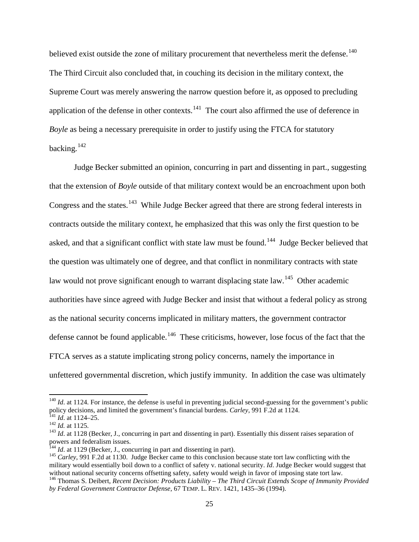believed exist outside the zone of military procurement that nevertheless merit the defense.<sup>[140](#page-25-0)</sup> The Third Circuit also concluded that, in couching its decision in the military context, the Supreme Court was merely answering the narrow question before it, as opposed to precluding application of the defense in other contexts.<sup>[141](#page-25-1)</sup> The court also affirmed the use of deference in *Boyle* as being a necessary prerequisite in order to justify using the FTCA for statutory backing.<sup>[142](#page-25-2)</sup>

Judge Becker submitted an opinion, concurring in part and dissenting in part., suggesting that the extension of *Boyle* outside of that military context would be an encroachment upon both Congress and the states.<sup>[143](#page-25-3)</sup> While Judge Becker agreed that there are strong federal interests in contracts outside the military context, he emphasized that this was only the first question to be asked, and that a significant conflict with state law must be found.<sup>[144](#page-25-4)</sup> Judge Becker believed that the question was ultimately one of degree, and that conflict in nonmilitary contracts with state law would not prove significant enough to warrant displacing state law.<sup>[145](#page-25-5)</sup> Other academic authorities have since agreed with Judge Becker and insist that without a federal policy as strong as the national security concerns implicated in military matters, the government contractor defense cannot be found applicable.<sup>[146](#page-25-6)</sup> These criticisms, however, lose focus of the fact that the FTCA serves as a statute implicating strong policy concerns, namely the importance in unfettered governmental discretion, which justify immunity. In addition the case was ultimately

<span id="page-25-0"></span> $140$  *Id.* at 1124. For instance, the defense is useful in preventing judicial second-guessing for the government's public policy decisions, and limited the government's financial burdens. *Carley*, 991 F.2d at 1124.<br><sup>141</sup> *Id.* at 1124–25.<br><sup>142</sup> *Id.* at 1125.<br><sup>143</sup> *Id.* at 1128 (Becker, J., concurring in part and dissenting in part). Essen

<span id="page-25-1"></span>

<span id="page-25-3"></span><span id="page-25-2"></span>powers and federalism issues.<br><sup>144</sup> *Id.* at 1129 (Becker, J., concurring in part and dissenting in part).

<span id="page-25-5"></span><span id="page-25-4"></span><sup>&</sup>lt;sup>145</sup> *Carley*, 991 F.2d at 1130. Judge Becker came to this conclusion because state tort law conflicting with the military would essentially boil down to a conflict of safety v. national security. *Id*. Judge Becker would suggest that without national security concerns offsetting safety, safety would weigh in favor of imposing state t <sup>146</sup> Thomas S. Deibert, Recent Decision: Products Liability - The Third Circuit Extends Scope of Immunity Provided

<span id="page-25-6"></span>*by Federal Government Contractor Defense*, 67 TEMP. L. REV. 1421, 1435–36 (1994).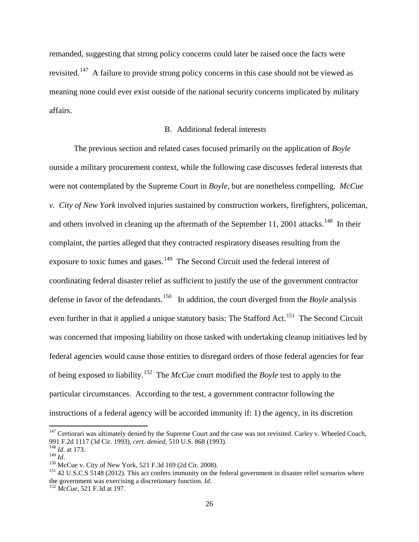remanded, suggesting that strong policy concerns could later be raised once the facts were revisited.<sup>[147](#page-26-0)</sup> A failure to provide strong policy concerns in this case should not be viewed as meaning none could ever exist outside of the national security concerns implicated by military affairs.

## B. Additional federal interests

The previous section and related cases focused primarily on the application of *Boyle* outside a military procurement context, while the following case discusses federal interests that were not contemplated by the Supreme Court in *Boyle*, but are nonetheless compelling. *McCue v. City of New York* involved injuries sustained by construction workers, firefighters, policeman, and others involved in cleaning up the aftermath of the September 11, 2001 attacks.<sup>[148](#page-26-1)</sup> In their complaint, the parties alleged that they contracted respiratory diseases resulting from the exposure to toxic fumes and gases.<sup>[149](#page-26-2)</sup> The Second Circuit used the federal interest of coordinating federal disaster relief as sufficient to justify the use of the government contractor defense in favor of the defendants.<sup>[150](#page-26-3)</sup> In addition, the court diverged from the *Boyle* analysis even further in that it applied a unique statutory basis: The Stafford Act.<sup>[151](#page-26-4)</sup> The Second Circuit was concerned that imposing liability on those tasked with undertaking cleanup initiatives led by federal agencies would cause those entities to disregard orders of those federal agencies for fear of being exposed to liability.[152](#page-26-5) The *McCue* court modified the *Boyle* test to apply to the particular circumstances. According to the test, a government contractor following the instructions of a federal agency will be accorded immunity if: 1) the agency, in its discretion

<span id="page-26-0"></span> $147$  Certiorari was ultimately denied by the Supreme Court and the case was not revisited. Carley v. Wheeled Coach, 991 F.2d 1117 (3d Cir. 1993), *cert. denied*, 510 U.S. 868 (1993). 148 *Id*. at 173.

<span id="page-26-1"></span>

<span id="page-26-4"></span><span id="page-26-3"></span><span id="page-26-2"></span><sup>&</sup>lt;sup>150</sup> McCue v. City of New York, 521 F.3d 169 (2d Cir. 2008).<br><sup>151</sup> 42 U.S.C.S 5148 (2012). This act confers immunity on the federal government in disaster relief scenarios where the government was exercising a discretionary function. *Id*. 152 *McCue*, 521 F.3d at 197.

<span id="page-26-5"></span>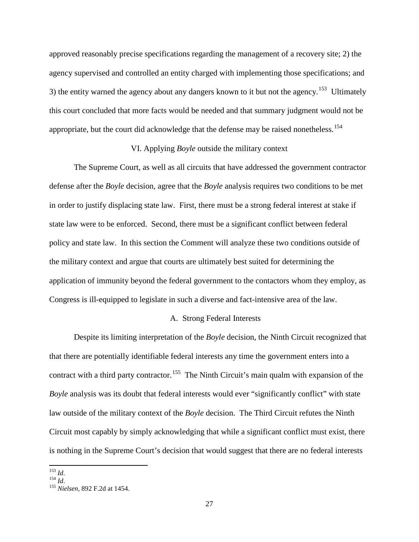approved reasonably precise specifications regarding the management of a recovery site; 2) the agency supervised and controlled an entity charged with implementing those specifications; and 3) the entity warned the agency about any dangers known to it but not the agency.<sup>[153](#page-27-0)</sup> Ultimately this court concluded that more facts would be needed and that summary judgment would not be appropriate, but the court did acknowledge that the defense may be raised nonetheless.<sup>[154](#page-27-1)</sup>

#### VI. Applying *Boyle* outside the military context

The Supreme Court, as well as all circuits that have addressed the government contractor defense after the *Boyle* decision, agree that the *Boyle* analysis requires two conditions to be met in order to justify displacing state law. First, there must be a strong federal interest at stake if state law were to be enforced. Second, there must be a significant conflict between federal policy and state law. In this section the Comment will analyze these two conditions outside of the military context and argue that courts are ultimately best suited for determining the application of immunity beyond the federal government to the contactors whom they employ, as Congress is ill-equipped to legislate in such a diverse and fact-intensive area of the law.

#### A. Strong Federal Interests

Despite its limiting interpretation of the *Boyle* decision, the Ninth Circuit recognized that that there are potentially identifiable federal interests any time the government enters into a contract with a third party contractor.<sup>[155](#page-27-2)</sup> The Ninth Circuit's main qualm with expansion of the *Boyle* analysis was its doubt that federal interests would ever "significantly conflict" with state law outside of the military context of the *Boyle* decision. The Third Circuit refutes the Ninth Circuit most capably by simply acknowledging that while a significant conflict must exist, there is nothing in the Supreme Court's decision that would suggest that there are no federal interests

<span id="page-27-2"></span><span id="page-27-1"></span>

<span id="page-27-0"></span><sup>153</sup> *Id*. 154 *Id*. 155 *Nielsen,* 892 F.2d at 1454.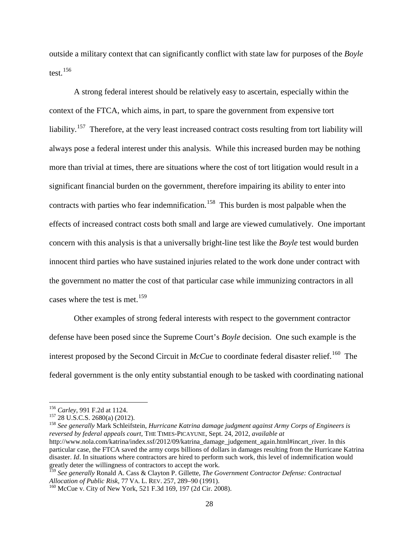outside a military context that can significantly conflict with state law for purposes of the *Boyle* test. [156](#page-28-0)

A strong federal interest should be relatively easy to ascertain, especially within the context of the FTCA, which aims, in part, to spare the government from expensive tort liability.<sup>[157](#page-28-1)</sup> Therefore, at the very least increased contract costs resulting from tort liability will always pose a federal interest under this analysis. While this increased burden may be nothing more than trivial at times, there are situations where the cost of tort litigation would result in a significant financial burden on the government, therefore impairing its ability to enter into contracts with parties who fear indemnification.<sup>[158](#page-28-2)</sup> This burden is most palpable when the effects of increased contract costs both small and large are viewed cumulatively. One important concern with this analysis is that a universally bright-line test like the *Boyle* test would burden innocent third parties who have sustained injuries related to the work done under contract with the government no matter the cost of that particular case while immunizing contractors in all cases where the test is met. [159](#page-28-3)

<span id="page-28-5"></span>Other examples of strong federal interests with respect to the government contractor defense have been posed since the Supreme Court's *Boyle* decision. One such example is the interest proposed by the Second Circuit in *McCue* to coordinate federal disaster relief.<sup>[160](#page-28-4)</sup> The federal government is the only entity substantial enough to be tasked with coordinating national

<span id="page-28-1"></span><span id="page-28-0"></span><sup>156</sup> *Carley*, 991 F.2d at 1124.<br><sup>157</sup> 28 U.S.C.S. 2680(a) (2012).<br><sup>158</sup> See generally Mark Schleifstein, *Hurricane Katrina damage judgment against Army Corps of Engineers is reversed by federal appeals court*, THE TIMES-PICAYUNE, Sept. 24, 2012, *available at* 

<span id="page-28-2"></span>

http://www.nola.com/katrina/index.ssf/2012/09/katrina\_damage\_judgement\_again.html#incart\_river. In this particular case, the FTCA saved the army corps billions of dollars in damages resulting from the Hurricane Katrina disaster. *Id*. In situations where contractors are hired to perform such work, this level of indemnification would greatly deter the willingness of contractors to accept the work.

<span id="page-28-3"></span><sup>159</sup> *See generally* Ronald A. Cass & Clayton P. Gillette, *The Government Contractor Defense: Contractual Allocation of Public Risk*, 77 VA. L. REV. 257, 289–90 (1991).<br><sup>160</sup> McCue v. City of New York, 521 F.3d 169, 197 (2d Cir. 2008).

<span id="page-28-4"></span>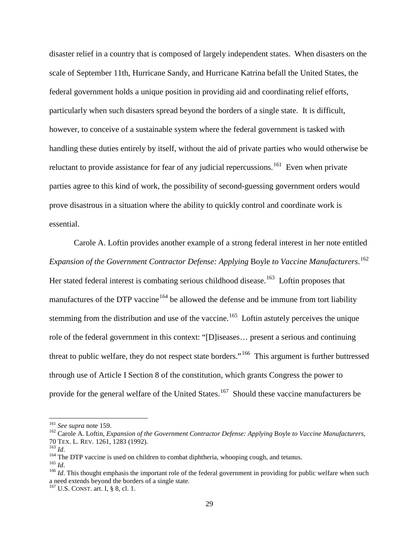disaster relief in a country that is composed of largely independent states. When disasters on the scale of September 11th, Hurricane Sandy, and Hurricane Katrina befall the United States, the federal government holds a unique position in providing aid and coordinating relief efforts, particularly when such disasters spread beyond the borders of a single state. It is difficult, however, to conceive of a sustainable system where the federal government is tasked with handling these duties entirely by itself, without the aid of private parties who would otherwise be reluctant to provide assistance for fear of any judicial repercussions.<sup>[161](#page-29-0)</sup> Even when private parties agree to this kind of work, the possibility of second-guessing government orders would prove disastrous in a situation where the ability to quickly control and coordinate work is essential.

<span id="page-29-8"></span><span id="page-29-7"></span>Carole A. Loftin provides another example of a strong federal interest in her note entitled *Expansion of the Government Contractor Defense: Applying* Boyle *to Vaccine Manufacturers*. [162](#page-29-1) Her stated federal interest is combating serious childhood disease.<sup>[163](#page-29-2)</sup> Loftin proposes that manufactures of the DTP vaccine<sup>[164](#page-29-3)</sup> be allowed the defense and be immune from tort liability stemming from the distribution and use of the vaccine.<sup>[165](#page-29-4)</sup> Loftin astutely perceives the unique role of the federal government in this context: "[D]iseases… present a serious and continuing threat to public welfare, they do not respect state borders."<sup>[166](#page-29-5)</sup> This argument is further buttressed through use of Article I Section 8 of the constitution, which grants Congress the power to provide for the general welfare of the United States.<sup>[167](#page-29-6)</sup> Should these vaccine manufacturers be

<span id="page-29-1"></span><span id="page-29-0"></span><sup>&</sup>lt;sup>161</sup> *See supra* not[e 159.](#page-28-5)<br><sup>162</sup> Carole A. Loftin, *Expansion of the Government Contractor Defense: Applying Boyle <i>to Vaccine Manufacturers*, 70 TEX. L. REV. 1261, 1283 (1992).<br><sup>163</sup> *Id.*<br><sup>164</sup> The DTP vaccine is used on children to combat diphtheria, whooping cough, and tetanus.<br><sup>165</sup> *Id.*<br><sup>166</sup> *Id.* This thought emphasis the important role of the federal g

<span id="page-29-2"></span>

<span id="page-29-3"></span>

<span id="page-29-4"></span>

<span id="page-29-5"></span>a need extends beyond the borders of a single state.

<span id="page-29-6"></span> $167$  U.S. CONST. art. I, § 8, cl. 1.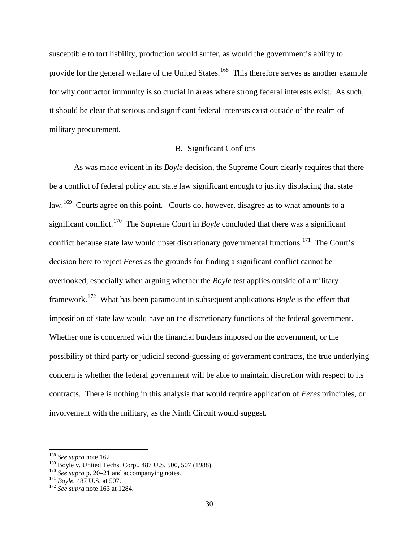susceptible to tort liability, production would suffer, as would the government's ability to provide for the general welfare of the United States.<sup>[168](#page-30-0)</sup> This therefore serves as another example for why contractor immunity is so crucial in areas where strong federal interests exist. As such, it should be clear that serious and significant federal interests exist outside of the realm of military procurement.

#### B. Significant Conflicts

As was made evident in its *Boyle* decision, the Supreme Court clearly requires that there be a conflict of federal policy and state law significant enough to justify displacing that state law.<sup>[169](#page-30-1)</sup> Courts agree on this point. Courts do, however, disagree as to what amounts to a significant conflict.<sup>[170](#page-30-2)</sup> The Supreme Court in *Boyle* concluded that there was a significant conflict because state law would upset discretionary governmental functions.<sup>[171](#page-30-3)</sup> The Court's decision here to reject *Feres* as the grounds for finding a significant conflict cannot be overlooked, especially when arguing whether the *Boyle* test applies outside of a military framework.[172](#page-30-4) What has been paramount in subsequent applications *Boyle* is the effect that imposition of state law would have on the discretionary functions of the federal government. Whether one is concerned with the financial burdens imposed on the government, or the possibility of third party or judicial second-guessing of government contracts, the true underlying concern is whether the federal government will be able to maintain discretion with respect to its contracts. There is nothing in this analysis that would require application of *Feres* principles, or involvement with the military, as the Ninth Circuit would suggest.

<span id="page-30-1"></span><span id="page-30-0"></span><sup>&</sup>lt;sup>168</sup> *See supra* not[e 162.](#page-29-7)<br><sup>169</sup> Boyle v. United Techs. Corp., 487 U.S. 500, 507 (1988).<br><sup>170</sup> *See supra* p. 20–21 and accompanying notes.<br><sup>171</sup> *Boyle*, 487 U.S. at 507. <sup>172</sup> *See supra* not[e 163](#page-29-8) at 1284.

<span id="page-30-2"></span>

<span id="page-30-3"></span>

<span id="page-30-4"></span>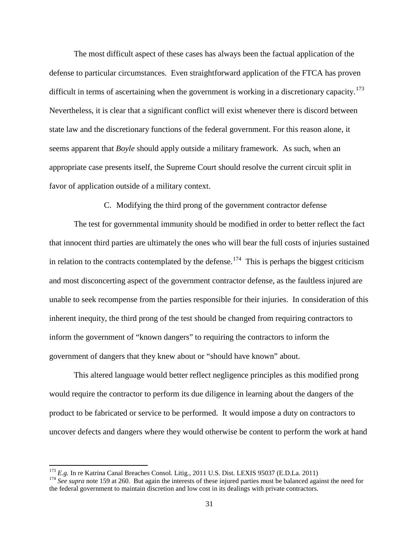The most difficult aspect of these cases has always been the factual application of the defense to particular circumstances. Even straightforward application of the FTCA has proven difficult in terms of ascertaining when the government is working in a discretionary capacity.<sup>[173](#page-31-0)</sup> Nevertheless, it is clear that a significant conflict will exist whenever there is discord between state law and the discretionary functions of the federal government. For this reason alone, it seems apparent that *Boyle* should apply outside a military framework. As such, when an appropriate case presents itself, the Supreme Court should resolve the current circuit split in favor of application outside of a military context.

C. Modifying the third prong of the government contractor defense

The test for governmental immunity should be modified in order to better reflect the fact that innocent third parties are ultimately the ones who will bear the full costs of injuries sustained in relation to the contracts contemplated by the defense.<sup>[174](#page-31-1)</sup> This is perhaps the biggest criticism and most disconcerting aspect of the government contractor defense, as the faultless injured are unable to seek recompense from the parties responsible for their injuries. In consideration of this inherent inequity, the third prong of the test should be changed from requiring contractors to inform the government of "known dangers" to requiring the contractors to inform the government of dangers that they knew about or "should have known" about.

This altered language would better reflect negligence principles as this modified prong would require the contractor to perform its due diligence in learning about the dangers of the product to be fabricated or service to be performed. It would impose a duty on contractors to uncover defects and dangers where they would otherwise be content to perform the work at hand

<span id="page-31-1"></span><span id="page-31-0"></span><sup>&</sup>lt;sup>173</sup> E.g. In re Katrina Canal Breaches Consol. Litig., 2011 U.S. Dist. LEXIS 95037 (E.D.La. 2011)<br><sup>174</sup> See supra not[e 159](#page-28-5) at 260. But again the interests of these injured parties must be balanced against the need for the federal government to maintain discretion and low cost in its dealings with private contractors.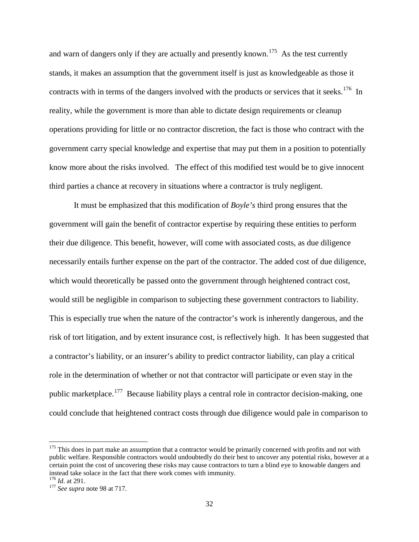and warn of dangers only if they are actually and presently known.<sup>[175](#page-32-0)</sup> As the test currently stands, it makes an assumption that the government itself is just as knowledgeable as those it contracts with in terms of the dangers involved with the products or services that it seeks.<sup>[176](#page-32-1)</sup> In reality, while the government is more than able to dictate design requirements or cleanup operations providing for little or no contractor discretion, the fact is those who contract with the government carry special knowledge and expertise that may put them in a position to potentially know more about the risks involved. The effect of this modified test would be to give innocent third parties a chance at recovery in situations where a contractor is truly negligent.

It must be emphasized that this modification of *Boyle's* third prong ensures that the government will gain the benefit of contractor expertise by requiring these entities to perform their due diligence. This benefit, however, will come with associated costs, as due diligence necessarily entails further expense on the part of the contractor. The added cost of due diligence, which would theoretically be passed onto the government through heightened contract cost, would still be negligible in comparison to subjecting these government contractors to liability. This is especially true when the nature of the contractor's work is inherently dangerous, and the risk of tort litigation, and by extent insurance cost, is reflectively high. It has been suggested that a contractor's liability, or an insurer's ability to predict contractor liability, can play a critical role in the determination of whether or not that contractor will participate or even stay in the public marketplace.[177](#page-32-2) Because liability plays a central role in contractor decision-making, one could conclude that heightened contract costs through due diligence would pale in comparison to

<span id="page-32-0"></span> $175$  This does in part make an assumption that a contractor would be primarily concerned with profits and not with public welfare. Responsible contractors would undoubtedly do their best to uncover any potential risks, however at a certain point the cost of uncovering these risks may cause contractors to turn a blind eye to knowable dangers and instead take solace in the fact that there work comes with immunity.  $^{176}$  *Id.* at 291.

<span id="page-32-1"></span>

<span id="page-32-2"></span><sup>&</sup>lt;sup>177</sup> *See supra* note 98 at 717.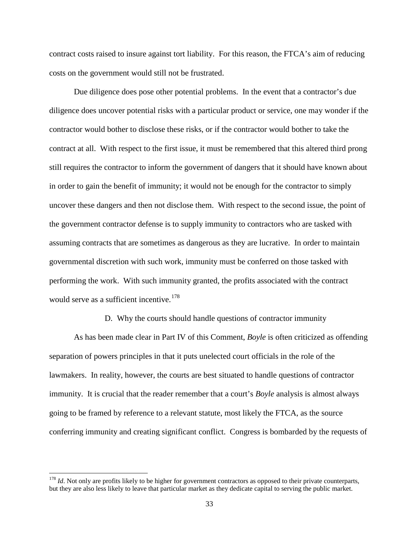contract costs raised to insure against tort liability. For this reason, the FTCA's aim of reducing costs on the government would still not be frustrated.

Due diligence does pose other potential problems. In the event that a contractor's due diligence does uncover potential risks with a particular product or service, one may wonder if the contractor would bother to disclose these risks, or if the contractor would bother to take the contract at all. With respect to the first issue, it must be remembered that this altered third prong still requires the contractor to inform the government of dangers that it should have known about in order to gain the benefit of immunity; it would not be enough for the contractor to simply uncover these dangers and then not disclose them. With respect to the second issue, the point of the government contractor defense is to supply immunity to contractors who are tasked with assuming contracts that are sometimes as dangerous as they are lucrative. In order to maintain governmental discretion with such work, immunity must be conferred on those tasked with performing the work. With such immunity granted, the profits associated with the contract would serve as a sufficient incentive.<sup>[178](#page-33-0)</sup>

#### D. Why the courts should handle questions of contractor immunity

As has been made clear in Part IV of this Comment, *Boyle* is often criticized as offending separation of powers principles in that it puts unelected court officials in the role of the lawmakers. In reality, however, the courts are best situated to handle questions of contractor immunity. It is crucial that the reader remember that a court's *Boyle* analysis is almost always going to be framed by reference to a relevant statute, most likely the FTCA, as the source conferring immunity and creating significant conflict. Congress is bombarded by the requests of

<span id="page-33-0"></span><sup>&</sup>lt;sup>178</sup> *Id*. Not only are profits likely to be higher for government contractors as opposed to their private counterparts, but they are also less likely to leave that particular market as they dedicate capital to serving the public market.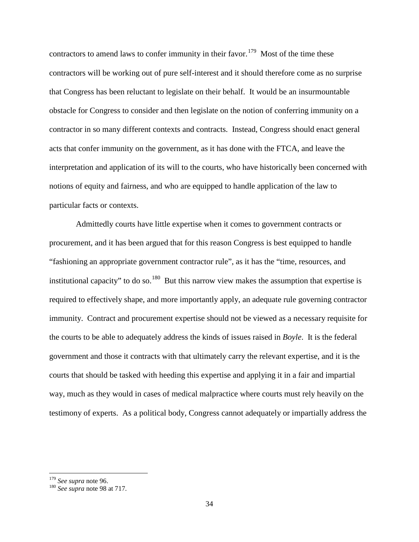contractors to amend laws to confer immunity in their favor.<sup>[179](#page-34-0)</sup> Most of the time these contractors will be working out of pure self-interest and it should therefore come as no surprise that Congress has been reluctant to legislate on their behalf. It would be an insurmountable obstacle for Congress to consider and then legislate on the notion of conferring immunity on a contractor in so many different contexts and contracts. Instead, Congress should enact general acts that confer immunity on the government, as it has done with the FTCA, and leave the interpretation and application of its will to the courts, who have historically been concerned with notions of equity and fairness, and who are equipped to handle application of the law to particular facts or contexts.

Admittedly courts have little expertise when it comes to government contracts or procurement, and it has been argued that for this reason Congress is best equipped to handle "fashioning an appropriate government contractor rule", as it has the "time, resources, and institutional capacity" to do so.<sup>[180](#page-34-1)</sup> But this narrow view makes the assumption that expertise is required to effectively shape, and more importantly apply, an adequate rule governing contractor immunity. Contract and procurement expertise should not be viewed as a necessary requisite for the courts to be able to adequately address the kinds of issues raised in *Boyle*. It is the federal government and those it contracts with that ultimately carry the relevant expertise, and it is the courts that should be tasked with heeding this expertise and applying it in a fair and impartial way, much as they would in cases of medical malpractice where courts must rely heavily on the testimony of experts. As a political body, Congress cannot adequately or impartially address the

<span id="page-34-1"></span><span id="page-34-0"></span><sup>179</sup> *See supra* not[e 96.](#page-17-0) 180 *See supra* note [98](#page-18-4) at 717.